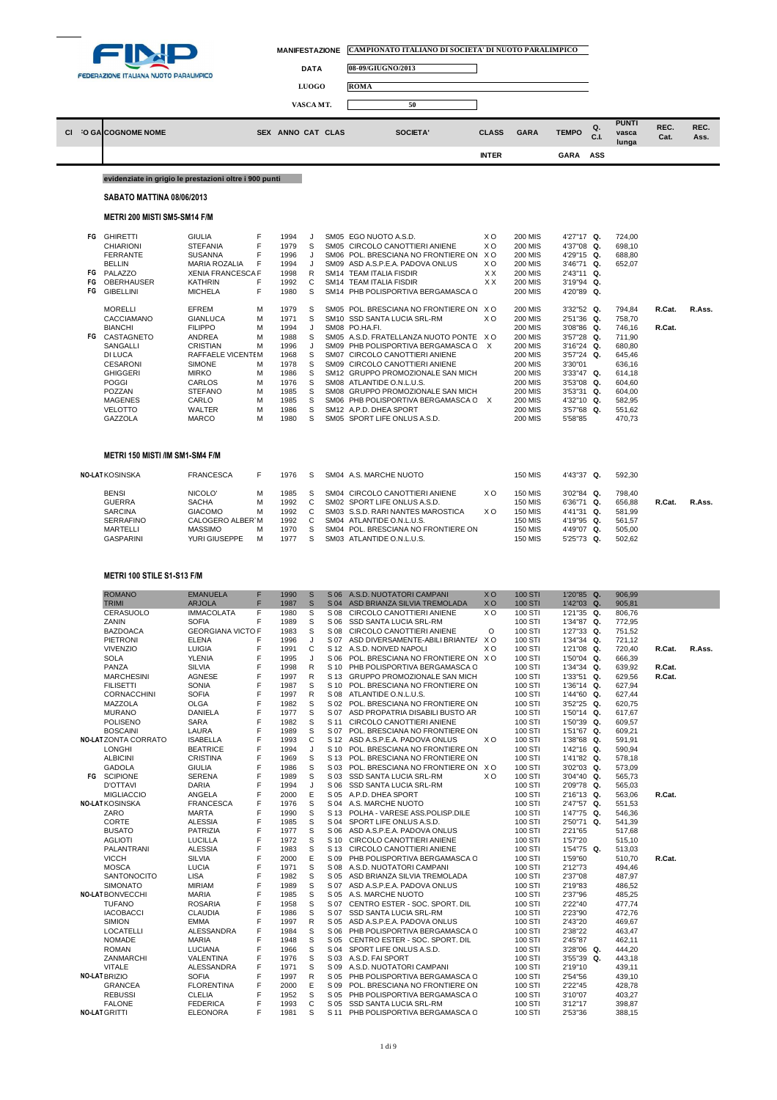

|    | <b>FEDERAZIONE ITALIANA NUOTO PARALIMPICO</b> |                                                                                                                                                                                                                                                                                                                                                    |                                                                                                                                                                                                                                                                                                                                                   | <b>DATA</b><br><b>LUOGO</b><br>VASCA MT.                                               | 08-09/GIUGNO/2013<br><b>ROMA</b><br>50                                                                                                                       |                                                                                                  |                                                                                                                                                                                                                                                                                                                                                                                                                                                                                                                                                                                                                                                                                |                                                                                                                            |                                                                                                                                                                                                                                                                                                                                                                      |                                                                                                                                                                                                                                                                                |            |                                                                                                                                                                        |                  |              |
|----|-----------------------------------------------|----------------------------------------------------------------------------------------------------------------------------------------------------------------------------------------------------------------------------------------------------------------------------------------------------------------------------------------------------|---------------------------------------------------------------------------------------------------------------------------------------------------------------------------------------------------------------------------------------------------------------------------------------------------------------------------------------------------|----------------------------------------------------------------------------------------|--------------------------------------------------------------------------------------------------------------------------------------------------------------|--------------------------------------------------------------------------------------------------|--------------------------------------------------------------------------------------------------------------------------------------------------------------------------------------------------------------------------------------------------------------------------------------------------------------------------------------------------------------------------------------------------------------------------------------------------------------------------------------------------------------------------------------------------------------------------------------------------------------------------------------------------------------------------------|----------------------------------------------------------------------------------------------------------------------------|----------------------------------------------------------------------------------------------------------------------------------------------------------------------------------------------------------------------------------------------------------------------------------------------------------------------------------------------------------------------|--------------------------------------------------------------------------------------------------------------------------------------------------------------------------------------------------------------------------------------------------------------------------------|------------|------------------------------------------------------------------------------------------------------------------------------------------------------------------------|------------------|--------------|
| СI |                                               | <b>O GALCOGNOME NOME</b>                                                                                                                                                                                                                                                                                                                           |                                                                                                                                                                                                                                                                                                                                                   |                                                                                        | SEX ANNO CAT CLAS                                                                                                                                            |                                                                                                  | SOCIETA'                                                                                                                                                                                                                                                                                                                                                                                                                                                                                                                                                                                                                                                                       | <b>CLASS</b>                                                                                                               | <b>GARA</b>                                                                                                                                                                                                                                                                                                                                                          | <b>TEMPO</b>                                                                                                                                                                                                                                                                   | Q.<br>C.I. | <b>PUNTI</b><br>vasca<br>lunga                                                                                                                                         | REC.<br>Cat.     | REC.<br>Ass. |
|    |                                               |                                                                                                                                                                                                                                                                                                                                                    |                                                                                                                                                                                                                                                                                                                                                   |                                                                                        |                                                                                                                                                              |                                                                                                  |                                                                                                                                                                                                                                                                                                                                                                                                                                                                                                                                                                                                                                                                                | <b>INTER</b>                                                                                                               |                                                                                                                                                                                                                                                                                                                                                                      | <b>GARA</b>                                                                                                                                                                                                                                                                    | ASS        |                                                                                                                                                                        |                  |              |
|    |                                               | evidenziate in grigio le prestazioni oltre i 900 punti                                                                                                                                                                                                                                                                                             |                                                                                                                                                                                                                                                                                                                                                   |                                                                                        |                                                                                                                                                              |                                                                                                  |                                                                                                                                                                                                                                                                                                                                                                                                                                                                                                                                                                                                                                                                                |                                                                                                                            |                                                                                                                                                                                                                                                                                                                                                                      |                                                                                                                                                                                                                                                                                |            |                                                                                                                                                                        |                  |              |
|    |                                               | SABATO MATTINA 08/06/2013                                                                                                                                                                                                                                                                                                                          |                                                                                                                                                                                                                                                                                                                                                   |                                                                                        |                                                                                                                                                              |                                                                                                  |                                                                                                                                                                                                                                                                                                                                                                                                                                                                                                                                                                                                                                                                                |                                                                                                                            |                                                                                                                                                                                                                                                                                                                                                                      |                                                                                                                                                                                                                                                                                |            |                                                                                                                                                                        |                  |              |
|    |                                               | METRI 200 MISTI SM5-SM14 F/M                                                                                                                                                                                                                                                                                                                       |                                                                                                                                                                                                                                                                                                                                                   |                                                                                        |                                                                                                                                                              |                                                                                                  |                                                                                                                                                                                                                                                                                                                                                                                                                                                                                                                                                                                                                                                                                |                                                                                                                            |                                                                                                                                                                                                                                                                                                                                                                      |                                                                                                                                                                                                                                                                                |            |                                                                                                                                                                        |                  |              |
|    | FG<br>FG<br>FG<br>FG                          | FG GHIRETTI<br><b>CHIARIONI</b><br><b>FERRANTE</b><br><b>BELLIN</b><br>PALAZZO<br><b>OBERHAUSER</b><br><b>GIBELLINI</b><br><b>MORELLI</b><br>CACCIAMANO<br><b>BIANCHI</b><br>CASTAGNETO<br><b>SANGALLI</b><br><b>DI LUCA</b><br><b>CESARONI</b><br><b>GHIGGERI</b><br><b>POGGI</b><br>POZZAN<br><b>MAGENES</b><br><b>VELOTTO</b><br><b>GAZZOLA</b> | <b>GIULIA</b><br><b>STEFANIA</b><br><b>SUSANNA</b><br><b>MARIA ROZALIA</b><br><b>XENIA FRANCESCA F</b><br><b>KATHRIN</b><br><b>MICHELA</b><br>EFREM<br><b>GIANLUCA</b><br><b>FILIPPO</b><br><b>ANDREA</b><br><b>CRISTIAN</b><br>RAFFAELE VICENTEM<br><b>SIMONE</b><br><b>MIRKO</b><br>CARLOS<br><b>STEFANO</b><br>CARLO<br>WALTER<br><b>MARCO</b> | F<br>F<br>F<br>F<br>F<br>F<br>M<br>M<br>M<br>M<br>M<br>М<br>M<br>М<br>M<br>M<br>M<br>M | 1994<br>1979<br>1996<br>1994<br>1998<br>1992<br>1980<br>1979<br>1971<br>1994<br>1988<br>1996<br>1968<br>1978<br>1986<br>1976<br>1985<br>1985<br>1986<br>1980 | J<br>S<br>J<br>J<br>R<br>C<br>S<br>S<br>S<br>J<br>S<br>J<br>S<br>S<br>S<br>S<br>S<br>S<br>S<br>S | SM05 EGO NUOTO A.S.D.<br>SM05 CIRCOLO CANOTTIERI ANIENE<br>SM06 POL. BRESCIANA NO FRONTIERE ON<br>SM09 ASD A.S.P.E.A. PADOVA ONLUS<br>SM14 TEAM ITALIA FISDIR<br>SM14 TEAM ITALIA FISDIR<br>SM14 PHB POLISPORTIVA BERGAMASCA C<br>SM05 POL. BRESCIANA NO FRONTIERE ON<br>SM10 SSD SANTA LUCIA SRL-RM<br>SM08 PO.HA.FI.<br>SM05 A.S.D. FRATELLANZA NUOTO PONTE<br>SM09 PHB POLISPORTIVA BERGAMASCA C<br>SM07 CIRCOLO CANOTTIERI ANIENE<br>SM09 CIRCOLO CANOTTIERI ANIENE<br>SM12 GRUPPO PROMOZIONALE SAN MICH<br>SM08 ATLANTIDE O.N.L.U.S.<br>SM08 GRUPPO PROMOZIONALE SAN MICH<br>SM06 PHB POLISPORTIVA BERGAMASCA C<br>SM12 A.P.D. DHEA SPORT<br>SM05 SPORT LIFE ONLUS A.S.D. | X <sub>O</sub><br>X <sub>O</sub><br>X O<br>X <sub>O</sub><br>XX<br>XX<br>X O<br>X <sub>O</sub><br>x o<br>$\mathsf{X}$<br>X | <b>200 MIS</b><br><b>200 MIS</b><br><b>200 MIS</b><br><b>200 MIS</b><br><b>200 MIS</b><br><b>200 MIS</b><br><b>200 MIS</b><br><b>200 MIS</b><br><b>200 MIS</b><br><b>200 MIS</b><br><b>200 MIS</b><br><b>200 MIS</b><br><b>200 MIS</b><br><b>200 MIS</b><br><b>200 MIS</b><br><b>200 MIS</b><br><b>200 MIS</b><br><b>200 MIS</b><br><b>200 MIS</b><br><b>200 MIS</b> | 4'27"17 Q.<br>4'37"08 Q.<br>4'29"15 Q.<br>3'46"71 Q.<br>2'43"11 Q.<br>3'19"94 Q.<br>4'20"89 Q.<br>3'32"52 Q.<br>2'51"36 Q.<br>3'08"86 Q.<br>3'57"28 Q.<br>3'16"24 Q.<br>3'57"24 Q.<br>3'30"01<br>3'33"47 Q.<br>3'53"08 Q.<br>3'53"31 Q.<br>4'32"10 Q.<br>3'57"68 Q.<br>5'58"85 |            | 724.00<br>698.10<br>688,80<br>652.07<br>794,84<br>758,70<br>746,16<br>711,90<br>680,80<br>645,46<br>636,16<br>614.18<br>604,60<br>604,00<br>582,95<br>551,62<br>470,73 | R.Cat.<br>R.Cat. | R.Ass.       |
|    |                                               | METRI 150 MISTI /IM SM1-SM4 F/M                                                                                                                                                                                                                                                                                                                    |                                                                                                                                                                                                                                                                                                                                                   |                                                                                        |                                                                                                                                                              |                                                                                                  |                                                                                                                                                                                                                                                                                                                                                                                                                                                                                                                                                                                                                                                                                |                                                                                                                            |                                                                                                                                                                                                                                                                                                                                                                      |                                                                                                                                                                                                                                                                                |            |                                                                                                                                                                        |                  |              |
|    |                                               | <b>NO-LAT KOSINSKA</b>                                                                                                                                                                                                                                                                                                                             | <b>FRANCESCA</b>                                                                                                                                                                                                                                                                                                                                  | F                                                                                      | 1976                                                                                                                                                         | S                                                                                                | SM04 A.S. MARCHE NUOTO                                                                                                                                                                                                                                                                                                                                                                                                                                                                                                                                                                                                                                                         |                                                                                                                            | <b>150 MIS</b>                                                                                                                                                                                                                                                                                                                                                       | 4'43"37 Q.                                                                                                                                                                                                                                                                     |            | 592,30                                                                                                                                                                 |                  |              |
|    |                                               | <b>BENSI</b><br><b>GUERRA</b><br><b>SARCINA</b><br><b>SERRAFINO</b><br><b>MARTELLI</b><br><b>GASPARINI</b>                                                                                                                                                                                                                                         | NICOLO'<br><b>SACHA</b><br><b>GIACOMO</b><br>CALOGERO ALBER M<br><b>MASSIMO</b><br>YURI GIUSEPPE                                                                                                                                                                                                                                                  | M<br>M<br>M<br>M<br>M                                                                  | 1985<br>1992<br>1992<br>1992<br>1970<br>1977                                                                                                                 | S<br>C<br>C<br>C<br>S<br>S                                                                       | SM04 CIRCOLO CANOTTIERI ANIENE<br>SM02 SPORT LIFE ONLUS A.S.D.<br>SM03 S.S.D. RARI NANTES MAROSTICA<br>SM04 ATLANTIDE O.N.L.U.S.<br>SM04 POL. BRESCIANA NO FRONTIERE ON<br>SM03 ATLANTIDE O.N.L.U.S.                                                                                                                                                                                                                                                                                                                                                                                                                                                                           | X O<br>X O                                                                                                                 | <b>150 MIS</b><br><b>150 MIS</b><br><b>150 MIS</b><br><b>150 MIS</b><br><b>150 MIS</b><br><b>150 MIS</b>                                                                                                                                                                                                                                                             | 3'02"84 Q.<br>6'36"71 Q.<br>4'41"31 Q.<br>4'19"95 Q.<br>4'49"07 Q.<br>5'25"73                                                                                                                                                                                                  | Q.         | 798,40<br>656,88<br>581,99<br>561,57<br>505,00<br>502,62                                                                                                               | R.Cat.           | R.Ass.       |

### **METRI 100 STILE S1-S13 F/M**

| R.Cat.<br>R.Ass.<br>R.Cat.<br>R.Cat. |  |
|--------------------------------------|--|
|                                      |  |
|                                      |  |
|                                      |  |
|                                      |  |
|                                      |  |
|                                      |  |
|                                      |  |
|                                      |  |
|                                      |  |
|                                      |  |
|                                      |  |
|                                      |  |
|                                      |  |
|                                      |  |
|                                      |  |
|                                      |  |
|                                      |  |
|                                      |  |
|                                      |  |
|                                      |  |
|                                      |  |
| R.Cat.                               |  |
|                                      |  |
|                                      |  |
|                                      |  |
|                                      |  |
|                                      |  |
|                                      |  |
| R.Cat.                               |  |
|                                      |  |
|                                      |  |
|                                      |  |
|                                      |  |
|                                      |  |
|                                      |  |
|                                      |  |
|                                      |  |
|                                      |  |
|                                      |  |
|                                      |  |
|                                      |  |
|                                      |  |
|                                      |  |
|                                      |  |
|                                      |  |
|                                      |  |
|                                      |  |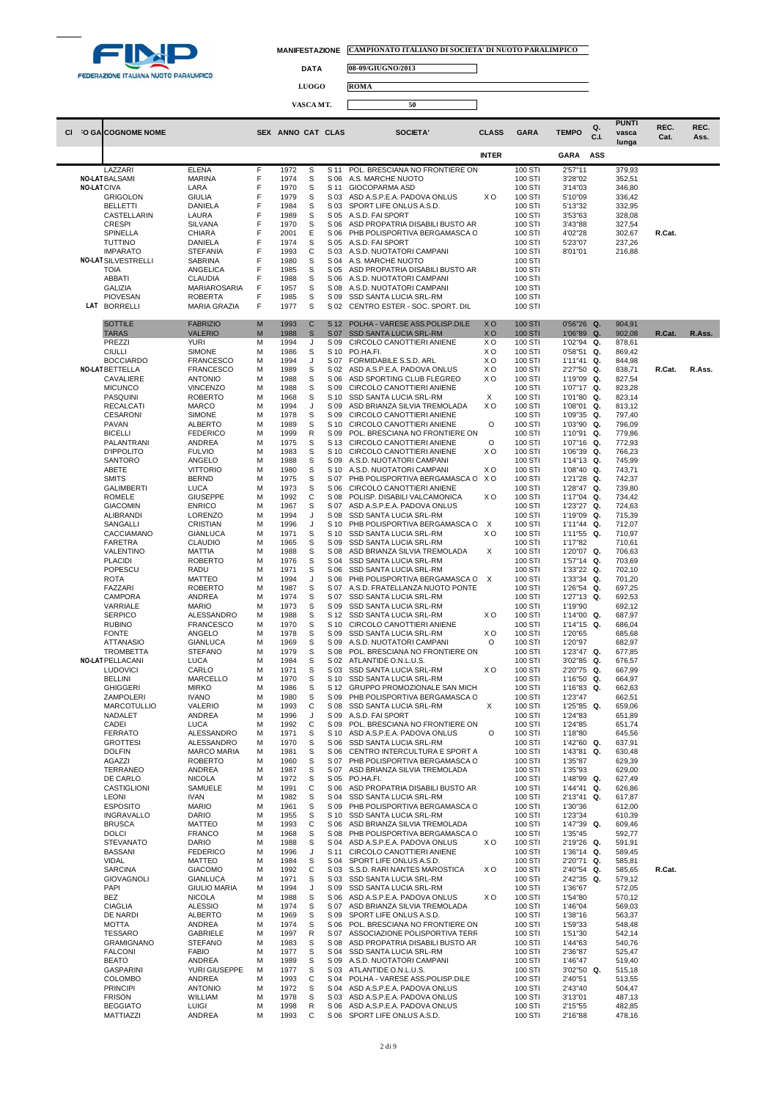

 $\Box$ 

 $\Box$ 

**DATA 08-09/GIUGNO/2013**

**LUOGO ROMA**

# **VASCA MT. 50**

|                    |                                           |                                       |        |                   |                  |              |                                                                  |                                  |                    |                          |            | <b>PUNTI</b>     |              |              |
|--------------------|-------------------------------------------|---------------------------------------|--------|-------------------|------------------|--------------|------------------------------------------------------------------|----------------------------------|--------------------|--------------------------|------------|------------------|--------------|--------------|
| CI.                | O GA COGNOME NOME                         |                                       |        | SEX ANNO CAT CLAS |                  |              | SOCIETA'                                                         | <b>CLASS</b>                     | <b>GARA</b>        | <b>TEMPO</b>             | Q.<br>C.I. | vasca            | REC.<br>Cat. | REC.<br>Ass. |
|                    |                                           |                                       |        |                   |                  |              |                                                                  |                                  |                    |                          |            | lunga            |              |              |
|                    |                                           |                                       |        |                   |                  |              |                                                                  | <b>INTER</b>                     |                    | <b>GARA</b>              | ASS        |                  |              |              |
|                    | LAZZARI                                   | <b>ELENA</b>                          | F      | 1972              | S                | S 11         | POL. BRESCIANA NO FRONTIERE ON                                   |                                  | 100 STI            | 2'57"11                  |            | 379,93           |              |              |
| <b>NO-LAT CIVA</b> | <b>NO-LAT BALSAMI</b>                     | <b>MARINA</b><br>LARA                 | F<br>F | 1974<br>1970      | S<br>S           | S 06<br>S 11 | A.S. MARCHE NUOTO<br>GIOCOPARMA ASD                              |                                  | 100 STI<br>100 STI | 3'28"02<br>3'14"03       |            | 352,51<br>346,80 |              |              |
|                    | <b>GRIGOLON</b>                           | <b>GIULIA</b>                         | F      | 1979              | S                | S 03         | ASD A.S.P.E.A. PADOVA ONLUS                                      | X O                              | 100 STI            | 5'10"09                  |            | 336,42           |              |              |
|                    | <b>BELLETTI</b>                           | DANIELA                               | F      | 1984              | S                | S 03         | SPORT LIFE ONLUS A.S.D.                                          |                                  | 100 STI            | 5'13"32                  |            | 332,95           |              |              |
|                    | CASTELLARIN<br><b>CRESPI</b>              | LAURA<br><b>SILVANA</b>               | F<br>F | 1989<br>1970      | S<br>S           | S 05<br>S 06 | A.S.D. FAI SPORT<br>ASD PROPATRIA DISABILI BUSTO AR              |                                  | 100 STI<br>100 STI | 3'53"63<br>3'43"88       |            | 328,08<br>327,54 |              |              |
|                    | SPINELLA                                  | CHIARA                                | F      | 2001              | Ε                | S 06         | PHB POLISPORTIVA BERGAMASCA C                                    |                                  | 100 STI            | 4'02"28                  |            | 302,67           | R.Cat.       |              |
|                    | <b>TUTTINO</b>                            | DANIELA                               | F      | 1974              | S                | S 05         | A.S.D. FAI SPORT                                                 |                                  | 100 STI            | 5'23"07                  |            | 237,26           |              |              |
|                    | <b>IMPARATO</b>                           | <b>STEFANIA</b>                       | F      | 1993              | С                | S 03         | A.S.D. NUOTATORI CAMPANI                                         |                                  | 100 STI            | 8'01"01                  |            | 216,88           |              |              |
|                    | <b>NO-LAT SILVESTRELLI</b><br><b>TOIA</b> | SABRINA<br>ANGELICA                   | F<br>F | 1980<br>1985      | S<br>S           | S 04<br>S 05 | A.S. MARCHE NUOTO<br>ASD PROPATRIA DISABILI BUSTO AR             |                                  | 100 STI<br>100 STI |                          |            |                  |              |              |
|                    | <b>ABBATI</b>                             | <b>CLAUDIA</b>                        | F      | 1988              | S                | S 06         | A.S.D. NUOTATORI CAMPANI                                         |                                  | 100 STI            |                          |            |                  |              |              |
|                    | <b>GALIZIA</b>                            | MARIAROSARIA                          | F      | 1957              | S                | S 08         | A.S.D. NUOTATORI CAMPANI                                         |                                  | 100 STI            |                          |            |                  |              |              |
|                    | <b>PIOVESAN</b><br>LAT BORRELLI           | <b>ROBERTA</b><br><b>MARIA GRAZIA</b> | F<br>F | 1985<br>1977      | S<br>S           | S 09<br>S 02 | SSD SANTA LUCIA SRL-RM<br>CENTRO ESTER - SOC. SPORT. DIL         |                                  | 100 STI<br>100 STI |                          |            |                  |              |              |
|                    |                                           |                                       |        |                   |                  |              |                                                                  |                                  |                    |                          |            |                  |              |              |
|                    | <b>SOTTILE</b>                            | <b>FABRIZIO</b>                       | M      | 1993              | $\mathbf C$      | S 12         | POLHA - VARESE ASS.POLISP.DILE                                   | <b>XO</b>                        | <b>100 STI</b>     | 0'56"26 Q.               |            | 904,91           |              |              |
|                    | <b>TARAS</b><br>PREZZI                    | <b>VALERIO</b><br><b>YURI</b>         | M<br>М | 1988<br>1994      | $\mathbb S$<br>J | S 07<br>S 09 | <b>SSD SANTA LUCIA SRL-RM</b><br>CIRCOLO CANOTTIERI ANIENE       | X <sub>O</sub><br>X <sub>O</sub> | 100 STI<br>100 STI | 1'06"89 Q.<br>1'02"94 Q. |            | 902,08<br>878,61 | R.Cat.       | R.Ass.       |
|                    | <b>CIULLI</b>                             | <b>SIMONE</b>                         | M      | 1986              | S                | S 10         | PO.HA.FI.                                                        | X O                              | 100 STI            | 0'58"51                  | Q.         | 869,42           |              |              |
|                    | <b>BOCCIARDO</b>                          | <b>FRANCESCO</b>                      | M      | 1994              | J                | S 07         | FORMIDABILE S.S.D. ARL                                           | X O                              | 100 STI            | 1'11"41                  | Q.         | 844,98           |              |              |
|                    | <b>NO-LAT BETTELLA</b>                    | <b>FRANCESCO</b>                      | M      | 1989              | S                | S 02         | ASD A.S.P.E.A. PADOVA ONLUS                                      | X <sub>O</sub>                   | 100 STI            | 2'27"50                  | Q.         | 838,71           | R.Cat.       | R.Ass.       |
|                    | CAVALIERE<br><b>MICUNCO</b>               | <b>ANTONIO</b><br><b>VINCENZO</b>     | M<br>M | 1988<br>1988      | S<br>S           | S 06<br>S 09 | ASD SPORTING CLUB FLEGREO<br>CIRCOLO CANOTTIERI ANIENE           | X O                              | 100 STI<br>100 STI | 1'19"09<br>1'07"17 Q.    | Q.         | 827,54<br>823,28 |              |              |
|                    | PASQUINI                                  | <b>ROBERTO</b>                        | M      | 1968              | S                | S 10         | SSD SANTA LUCIA SRL-RM                                           | X                                | 100 STI            | 1'01"80 Q.               |            | 823,14           |              |              |
|                    | <b>RECALCATI</b>                          | <b>MARCO</b>                          | M      | 1994              | J                | S 09         | ASD BRIANZA SILVIA TREMOLADA                                     | X O                              | 100 STI            | 1'08"01                  | Q.         | 813,12           |              |              |
|                    | <b>CESARONI</b>                           | <b>SIMONE</b>                         | M<br>M | 1978              | S<br>S           | S 09<br>S 10 | CIRCOLO CANOTTIERI ANIENE<br>CIRCOLO CANOTTIERI ANIENE           | O                                | 100 STI            | 1'09"35 Q.               |            | 797,40           |              |              |
|                    | PAVAN<br><b>BICELLI</b>                   | <b>ALBERTO</b><br><b>FEDERICO</b>     | M      | 1989<br>1999      | R                | S 09         | POL. BRESCIANA NO FRONTIERE ON                                   |                                  | 100 STI<br>100 STI | 1'03"90<br>1'10"91       | Q.<br>Q.   | 796,09<br>779,86 |              |              |
|                    | PALANTRANI                                | ANDREA                                | M      | 1975              | S                | S 13         | CIRCOLO CANOTTIERI ANIENE                                        | O                                | 100 STI            | 1'07"16                  | Q.         | 772,93           |              |              |
|                    | <b>D'IPPOLITO</b>                         | <b>FULVIO</b>                         | M      | 1983              | S                | S 10         | CIRCOLO CANOTTIERI ANIENE                                        | X <sub>O</sub>                   | 100 STI            | 1'06"39 Q.               |            | 766,23           |              |              |
|                    | SANTORO<br>ABETE                          | ANGELO<br><b>VITTORIO</b>             | M<br>M | 1988<br>1980      | S<br>S           | S 09<br>S 10 | A.S.D. NUOTATORI CAMPANI<br>A.S.D. NUOTATORI CAMPANI             | XO                               | 100 STI<br>100 STI | 1'14"13 Q.<br>1'08"40 Q. |            | 745,99<br>743,71 |              |              |
|                    | <b>SMITS</b>                              | <b>BERND</b>                          | M      | 1975              | s                | S 07         | PHB POLISPORTIVA BERGAMASCA C                                    | X O                              | 100 STI            | 1'21"28                  | Q.         | 742,37           |              |              |
|                    | <b>GALIMBERTI</b>                         | LUCA                                  | M      | 1973              | s                | S 06         | CIRCOLO CANOTTIERI ANIENE                                        |                                  | 100 STI            | 1'28"47                  | Q.         | 739,80           |              |              |
|                    | ROMELE                                    | <b>GIUSEPPE</b>                       | M      | 1992              | С                | S 08         | POLISP. DISABILI VALCAMONICA                                     | X <sub>O</sub>                   | 100 STI            | 1'17"04 Q.               |            | 734,42           |              |              |
|                    | <b>GIACOMIN</b><br>ALIBRANDI              | <b>ENRICO</b><br>LORENZO              | M<br>M | 1967<br>1994      | S<br>J           | S 07<br>S 08 | ASD A.S.P.E.A. PADOVA ONLUS<br>SSD SANTA LUCIA SRL-RM            |                                  | 100 STI<br>100 STI | 1'23"27 Q.<br>1'19"09    | Q.         | 724,63<br>715,39 |              |              |
|                    | SANGALLI                                  | CRISTIAN                              | M      | 1996              | J                | S 10         | PHB POLISPORTIVA BERGAMASCA C                                    | X                                | 100 STI            | 1'11"44 Q.               |            | 712,07           |              |              |
|                    | CACCIAMANO                                | GIANLUCA                              | M      | 1971              | s                | S 10         | SSD SANTA LUCIA SRL-RM                                           | X O                              | 100 STI            | 1'11"55                  | Q.         | 710,97           |              |              |
|                    | FARETRA                                   | <b>CLAUDIO</b>                        | M<br>M | 1965              | S<br>s           | S 09<br>S 08 | SSD SANTA LUCIA SRL-RM                                           | X                                | 100 STI            | 1'17"82<br>1'20"07 Q.    |            | 710,61           |              |              |
|                    | VALENTINO<br><b>PLACIDI</b>               | MATTIA<br><b>ROBERTO</b>              | M      | 1988<br>1976      | s                | S 04         | ASD BRIANZA SILVIA TREMOLADA<br>SSD SANTA LUCIA SRL-RM           |                                  | 100 STI<br>100 STI | 1'57"14 Q.               |            | 706,63<br>703,69 |              |              |
|                    | POPESCU                                   | RADU                                  | M      | 1971              | S                | S 06         | SSD SANTA LUCIA SRL-RM                                           |                                  | 100 STI            | 1'33"22 Q.               |            | 702,10           |              |              |
|                    | <b>ROTA</b>                               | <b>MATTEO</b>                         | M      | 1994              | J                | S 06         | PHB POLISPORTIVA BERGAMASCA C                                    | X                                | 100 STI            | 1'33"34                  | Q.         | 701,20           |              |              |
|                    | FAZZARI<br>CAMPORA                        | <b>ROBERTO</b><br>ANDREA              | M<br>M | 1987<br>1974      | S<br>S           | S 07<br>S 07 | A.S.D. FRATELLANZA NUOTO PONTE<br>SSD SANTA LUCIA SRL-RM         |                                  | 100 STI<br>100 STI | 1'26"54<br>1'27"13       | Q.<br>Q.   | 697,25<br>692,53 |              |              |
|                    | VARRIALE                                  | <b>MARIO</b>                          | M      | 1973              | S                | S 09         | SSD SANTA LUCIA SRL-RM                                           |                                  | 100 STI            | 1'19"90                  |            | 692,12           |              |              |
|                    | <b>SERPICO</b>                            | ALESSANDRO                            | M      | 1988              | S                | S 12         | SSD SANTA LUCIA SRL-RM                                           | X <sub>O</sub>                   | 100 STI            | 1'14"00                  | Q.         | 687,97           |              |              |
|                    | <b>RUBINO</b>                             | <b>FRANCESCO</b>                      | M      | 1970              | S                | S 10         | CIRCOLO CANOTTIERI ANIENE                                        |                                  | 100 STI            | 1'14"15                  | Q.         | 686,04           |              |              |
|                    | <b>FONTE</b><br><b>ATTANASIO</b>          | ANGELO<br>GIANLUCA                    | M<br>M | 1978<br>1969      | S<br>S           | S 09<br>S 09 | <b>SSD SANTA LUCIA SRL-RM</b><br>A.S.D. NUOTATORI CAMPANI        | X O<br>O                         | 100 STI<br>100 STI | 1'20"65<br>1'20"97       |            | 685,68<br>682,97 |              |              |
|                    | <b>TROMBETTA</b>                          | <b>STEFANO</b>                        | M      | 1979              | s                | S 08         | POL. BRESCIANA NO FRONTIERE ON                                   |                                  | 100 STI            | 1'23"47 Q.               |            | 677,85           |              |              |
|                    | <b>NO-LAT PELLACANI</b>                   | LUCA                                  | M      | 1984              | S                | S 02         | ATLANTIDE O.N.L.U.S.                                             |                                  | 100 STI            | 3'02"85                  | Q.         | 676,57           |              |              |
|                    | <b>LUDOVICI</b><br><b>BELLINI</b>         | CARLO<br>MARCELLO                     | M<br>M | 1971<br>1970      | S<br>S           | S 03<br>S 10 | SSD SANTA LUCIA SRL-RM                                           | X O                              | 100 STI<br>100 STI | 2'20"75<br>1'16"50 Q.    | Q.         | 667,99           |              |              |
|                    | <b>GHIGGERI</b>                           | <b>MIRKO</b>                          | M      | 1986              | s                | S 12         | SSD SANTA LUCIA SRL-RM<br>GRUPPO PROMOZIONALE SAN MICH           |                                  | 100 STI            | 1'16"83 Q.               |            | 664,97<br>662,63 |              |              |
|                    | ZAMPOLERI                                 | <b>IVANO</b>                          | M      | 1980              | S                | S 09         | PHB POLISPORTIVA BERGAMASCA C                                    |                                  | 100 STI            | 1'23"47                  |            | 662,51           |              |              |
|                    | <b>MARCOTULLIO</b>                        | <b>VALERIO</b>                        | M      | 1993              | C                | S 08         | SSD SANTA LUCIA SRL-RM                                           | X                                | 100 STI            | 1'25"85 Q.               |            | 659,06           |              |              |
|                    | NADALET<br>CADEI                          | ANDREA<br><b>LUCA</b>                 | M<br>M | 1996<br>1992      | J<br>C           | S 09<br>S 09 | A.S.D. FAI SPORT<br>POL. BRESCIANA NO FRONTIERE ON               |                                  | 100 STI<br>100 STI | 1'24"83<br>1'24"85       |            | 651,89<br>651,74 |              |              |
|                    | <b>FERRATO</b>                            | ALESSANDRO                            | M      | 1971              | S                | S 10         | ASD A.S.P.E.A. PADOVA ONLUS                                      | O                                | 100 STI            | 1'18"80                  |            | 645,56           |              |              |
|                    | <b>GROTTESI</b>                           | ALESSANDRO                            | M      | 1970              | S                | S 06         | SSD SANTA LUCIA SRL-RM                                           |                                  | 100 STI            | 1'42"60 Q.               |            | 637,91           |              |              |
|                    | <b>DOLFIN</b><br><b>AGAZZI</b>            | <b>MARCO MARIA</b><br><b>ROBERTO</b>  | M<br>M | 1981<br>1960      | S<br>S           | S 06<br>S 07 | CENTRO INTERCULTURA E SPORT A<br>PHB POLISPORTIVA BERGAMASCA C   |                                  | 100 STI<br>100 STI | 1'43"81 Q.<br>1'35"87    |            | 630,48<br>629,39 |              |              |
|                    | <b>TERRANEO</b>                           | ANDREA                                | М      | 1987              | S                | S 07         | ASD BRIANZA SILVIA TREMOLADA                                     |                                  | 100 STI            | 1'35"93                  |            | 629,00           |              |              |
|                    | DE CARLO                                  | <b>NICOLA</b>                         | M      | 1972              | S                | S 05         | PO.HA.FI.                                                        |                                  | 100 STI            | 1'48"99 Q.               |            | 627,49           |              |              |
|                    | CASTIGLIONI                               | SAMUELE                               | M      | 1991              | C                | S 06         | ASD PROPATRIA DISABILI BUSTO AR                                  |                                  | 100 STI            | 1'44"41 Q.               |            | 626,86           |              |              |
|                    | <b>LEONI</b><br><b>ESPOSITO</b>           | <b>IVAN</b><br><b>MARIO</b>           | М<br>M | 1982<br>1961      | S<br>S           | S 04<br>S 09 | SSD SANTA LUCIA SRL-RM<br>PHB POLISPORTIVA BERGAMASCA C          |                                  | 100 STI<br>100 STI | 2'13"41 Q.<br>1'30"36    |            | 617,87<br>612,00 |              |              |
|                    | INGRAVALLO                                | <b>DARIO</b>                          | M      | 1955              | S                | S 10         | SSD SANTA LUCIA SRL-RM                                           |                                  | 100 STI            | 1'23"34                  |            | 610,39           |              |              |
|                    | <b>BRUSCA</b>                             | <b>MATTEO</b>                         | M      | 1993              | С                | S 06         | ASD BRIANZA SILVIA TREMOLADA                                     |                                  | 100 STI            | 1'47"39                  | Q.         | 609,46           |              |              |
|                    | <b>DOLCI</b>                              | <b>FRANCO</b>                         | M<br>M | 1968              | S<br>S           | S 08<br>S 04 | PHB POLISPORTIVA BERGAMASCA C                                    | X <sub>O</sub>                   | 100 STI            | 1'35"45<br>2'19"26 Q.    |            | 592,77           |              |              |
|                    | <b>STEVANATO</b><br><b>BASSANI</b>        | <b>DARIO</b><br><b>FEDERICO</b>       | М      | 1988<br>1996      | J                | S 11         | ASD A.S.P.E.A. PADOVA ONLUS<br>CIRCOLO CANOTTIERI ANIENE         |                                  | 100 STI<br>100 STI | 1'36"14 Q.               |            | 591,91<br>589,45 |              |              |
|                    | <b>VIDAL</b>                              | <b>MATTEO</b>                         | M      | 1984              | S                | S 04         | SPORT LIFE ONLUS A.S.D.                                          |                                  | 100 STI            | 2'20"71 Q.               |            | 585,81           |              |              |
|                    | <b>SARCINA</b>                            | <b>GIACOMO</b>                        | M      | 1992              | C                | S 03         | S.S.D. RARI NANTES MAROSTICA                                     | ХO                               | 100 STI            | 2'40"54 Q.               |            | 585,65           | R.Cat.       |              |
|                    | <b>GIOVAGNOLI</b><br><b>PAPI</b>          | GIANLUCA<br><b>GIULIO MARIA</b>       | M<br>M | 1971<br>1994      | s<br>J           | S 03<br>S 09 | SSD SANTA LUCIA SRL-RM<br>SSD SANTA LUCIA SRL-RM                 |                                  | 100 STI<br>100 STI | 2'42"35<br>1'36"67       | Q.         | 579,12<br>572,05 |              |              |
|                    | <b>BEZ</b>                                | <b>NICOLA</b>                         | M      | 1988              | S                | S 06         | ASD A.S.P.E.A. PADOVA ONLUS                                      | ХO                               | 100 STI            | 1'54"80                  |            | 570,12           |              |              |
|                    | <b>CIAGLIA</b>                            | <b>ALESSIO</b>                        | M      | 1974              | s                | S 07         | ASD BRIANZA SILVIA TREMOLADA                                     |                                  | 100 STI            | 1'46"04                  |            | 569,03           |              |              |
|                    | DE NARDI                                  | <b>ALBERTO</b>                        | M      | 1969              | s                | S 09         | SPORT LIFE ONLUS A.S.D.                                          |                                  | 100 STI            | 1'38"16                  |            | 563,37           |              |              |
|                    | <b>MOTTA</b><br><b>TESSARO</b>            | ANDREA<br><b>GABRIELE</b>             | M<br>M | 1974<br>1997      | s<br>R           | S 06<br>S 07 | POL. BRESCIANA NO FRONTIERE ON<br>ASSOCIAZIONE POLISPORTIVA TERR |                                  | 100 STI<br>100 STI | 1'59"33<br>1'51"30       |            | 548,48<br>542,14 |              |              |
|                    | <b>GRAMIGNANO</b>                         | <b>STEFANO</b>                        | M      | 1983              | S                | S 08         | ASD PROPATRIA DISABILI BUSTO AR                                  |                                  | 100 STI            | 1'44"63                  |            | 540,76           |              |              |
|                    | <b>FALCONI</b>                            | <b>FABIO</b>                          | M      | 1977              | s                | S 04         | SSD SANTA LUCIA SRL-RM                                           |                                  | 100 STI            | 2'36"87                  |            | 525,47           |              |              |
|                    | <b>BEATO</b><br><b>GASPARINI</b>          | ANDREA<br>YURI GIUSEPPE               | М<br>M | 1989<br>1977      | S<br>S           | S 09<br>S 03 | A.S.D. NUOTATORI CAMPANI<br>ATLANTIDE O.N.L.U.S.                 |                                  | 100 STI<br>100 STI | 1'46"47<br>3'02"50 Q.    |            | 519,40           |              |              |
|                    | <b>COLOMBO</b>                            | ANDREA                                | M      | 1993              | С                | S 04         | POLHA - VARESE ASS.POLISP.DILE                                   |                                  | 100 STI            | 2'40"51                  |            | 515,18<br>513,55 |              |              |
|                    | <b>PRINCIPI</b>                           | <b>ANTONIO</b>                        | M      | 1972              | s                | S 04         | ASD A.S.P.E.A. PADOVA ONLUS                                      |                                  | 100 STI            | 2'43"40                  |            | 504,47           |              |              |
|                    | <b>FRISON</b>                             | WILLIAM                               | M      | 1978              | s                | S 03         | ASD A.S.P.E.A. PADOVA ONLUS                                      |                                  | 100 STI            | 3'13"01                  |            | 487,13           |              |              |
|                    | <b>BEGGIATO</b><br>MATTIAZZI              | LUIGI<br>ANDREA                       | M<br>M | 1998<br>1993      | R<br>С           | S 06<br>S 06 | ASD A.S.P.E.A. PADOVA ONLUS<br>SPORT LIFE ONLUS A.S.D.           |                                  | 100 STI<br>100 STI | 2'15"55<br>2'16"88       |            | 482,85<br>478,16 |              |              |
|                    |                                           |                                       |        |                   |                  |              |                                                                  |                                  |                    |                          |            |                  |              |              |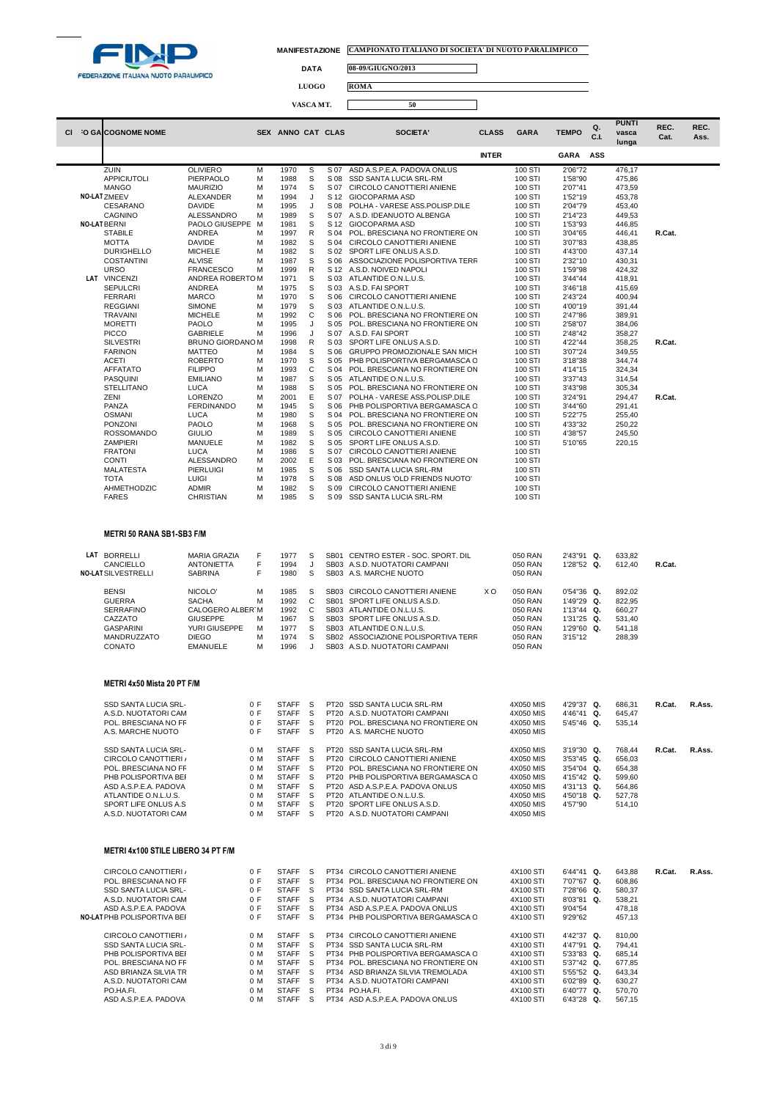

 $\Box$ 

 $\Box$ 

**DATA 08-09/GIUGNO/2013**

**LUOGO ROMA**

# **VASCA MT. 50**

|     |                                                                                                                                                                                                |                                                                                                                    |                                                      |                                                                                                                              |                                       |              |                                                                                                                                                                                                                                                                              |                |                                                                                                      |                                                                                             |            | <b>PUNTI</b>                                                       |              | REC.   |
|-----|------------------------------------------------------------------------------------------------------------------------------------------------------------------------------------------------|--------------------------------------------------------------------------------------------------------------------|------------------------------------------------------|------------------------------------------------------------------------------------------------------------------------------|---------------------------------------|--------------|------------------------------------------------------------------------------------------------------------------------------------------------------------------------------------------------------------------------------------------------------------------------------|----------------|------------------------------------------------------------------------------------------------------|---------------------------------------------------------------------------------------------|------------|--------------------------------------------------------------------|--------------|--------|
| CI. | <b>O GALCOGNOME NOME</b>                                                                                                                                                                       |                                                                                                                    |                                                      | SEX ANNO CAT CLAS                                                                                                            |                                       |              | <b>SOCIETA'</b>                                                                                                                                                                                                                                                              | <b>CLASS</b>   | <b>GARA</b>                                                                                          | <b>TEMPO</b>                                                                                | Q.<br>C.I. | vasca                                                              | REC.<br>Cat. | Ass.   |
|     |                                                                                                                                                                                                |                                                                                                                    |                                                      |                                                                                                                              |                                       |              |                                                                                                                                                                                                                                                                              |                |                                                                                                      |                                                                                             |            | lunga                                                              |              |        |
|     |                                                                                                                                                                                                |                                                                                                                    |                                                      |                                                                                                                              |                                       |              |                                                                                                                                                                                                                                                                              | <b>INTER</b>   |                                                                                                      | <b>GARA</b>                                                                                 | ASS        |                                                                    |              |        |
|     | ZUIN<br><b>APPICIUTOLI</b>                                                                                                                                                                     | <b>OLIVIERO</b><br>PIERPAOLO                                                                                       | M<br>M                                               | 1970<br>1988                                                                                                                 | S<br>S                                | S 07<br>S 08 | ASD A.S.P.E.A. PADOVA ONLUS<br>SSD SANTA LUCIA SRL-RM                                                                                                                                                                                                                        |                | 100 STI<br>100 STI                                                                                   | 2'06"72<br>1'58"90                                                                          |            | 476,17<br>475,86                                                   |              |        |
|     | <b>MANGO</b>                                                                                                                                                                                   | <b>MAURIZIO</b>                                                                                                    | M                                                    | 1974                                                                                                                         | S                                     | S 07         | CIRCOLO CANOTTIERI ANIENE                                                                                                                                                                                                                                                    |                | 100 STI                                                                                              | 2'07"41                                                                                     |            | 473,59                                                             |              |        |
|     | NO-LATZMEEV                                                                                                                                                                                    | ALEXANDER                                                                                                          | M                                                    | 1994                                                                                                                         | J                                     |              | S 12 GIOCOPARMA ASD                                                                                                                                                                                                                                                          |                | 100 STI                                                                                              | 1'52"19                                                                                     |            | 453,78                                                             |              |        |
|     | CESARANO                                                                                                                                                                                       | <b>DAVIDE</b>                                                                                                      | M                                                    | 1995                                                                                                                         | J                                     | S 08         | POLHA - VARESE ASS.POLISP.DILE                                                                                                                                                                                                                                               |                | 100 STI                                                                                              | 2'04"79                                                                                     |            | 453,40                                                             |              |        |
|     | CAGNINO<br><b>NO-LAT BERNI</b>                                                                                                                                                                 | ALESSANDRO<br>PAOLO GIUSEPPE                                                                                       | M<br>м                                               | 1989<br>1981                                                                                                                 | s<br>S                                | S 07<br>S 12 | A.S.D. IDEANUOTO ALBENGA<br>GIOCOPARMA ASD                                                                                                                                                                                                                                   |                | 100 STI<br>100 STI                                                                                   | 2'14"23<br>1'53"93                                                                          |            | 449,53<br>446,85                                                   |              |        |
|     | <b>STABILE</b>                                                                                                                                                                                 | ANDREA                                                                                                             | M                                                    | 1997                                                                                                                         | R                                     | S 04         | POL. BRESCIANA NO FRONTIERE ON                                                                                                                                                                                                                                               |                | 100 STI                                                                                              | 3'04"65                                                                                     |            | 446,41                                                             | R.Cat.       |        |
|     | <b>MOTTA</b>                                                                                                                                                                                   | <b>DAVIDE</b>                                                                                                      | M                                                    | 1982                                                                                                                         | S                                     | S 04         | CIRCOLO CANOTTIERI ANIENE                                                                                                                                                                                                                                                    |                | 100 STI                                                                                              | 3'07"83                                                                                     |            | 438,85                                                             |              |        |
|     | <b>DURIGHELLO</b>                                                                                                                                                                              | <b>MICHELE</b>                                                                                                     | M                                                    | 1982                                                                                                                         | s                                     | S 02         | SPORT LIFE ONLUS A.S.D.                                                                                                                                                                                                                                                      |                | 100 STI                                                                                              | 4'43"00                                                                                     |            | 437,14                                                             |              |        |
|     | <b>COSTANTINI</b><br><b>URSO</b>                                                                                                                                                               | <b>ALVISE</b><br><b>FRANCESCO</b>                                                                                  | M<br>M                                               | 1987<br>1999                                                                                                                 | S<br>R                                | S 06<br>S 12 | ASSOCIAZIONE POLISPORTIVA TERF<br>A.S.D. NOIVED NAPOLI                                                                                                                                                                                                                       |                | 100 STI<br>100 STI                                                                                   | 2'32"10<br>1'59"98                                                                          |            | 430,31<br>424,32                                                   |              |        |
|     | LAT VINCENZI                                                                                                                                                                                   | ANDREA ROBERTOM                                                                                                    |                                                      | 1971                                                                                                                         | s                                     |              | S 03 ATLANTIDE O.N.L.U.S.                                                                                                                                                                                                                                                    |                | 100 STI                                                                                              | 3'44"44                                                                                     |            | 418,91                                                             |              |        |
|     | <b>SEPULCRI</b>                                                                                                                                                                                | ANDREA                                                                                                             | M                                                    | 1975                                                                                                                         | S                                     |              | S 03 A.S.D. FAI SPORT                                                                                                                                                                                                                                                        |                | 100 STI                                                                                              | 3'46"18                                                                                     |            | 415,69                                                             |              |        |
|     | <b>FERRARI</b>                                                                                                                                                                                 | <b>MARCO</b>                                                                                                       | M                                                    | 1970                                                                                                                         | S                                     | S 06         | CIRCOLO CANOTTIERI ANIENE                                                                                                                                                                                                                                                    |                | 100 STI                                                                                              | 2'43"24                                                                                     |            | 400,94                                                             |              |        |
|     | <b>REGGIANI</b><br><b>TRAVAINI</b>                                                                                                                                                             | SIMONE<br><b>MICHELE</b>                                                                                           | M<br>M                                               | 1979<br>1992                                                                                                                 | S<br>С                                | S 03<br>S 06 | ATLANTIDE O.N.L.U.S.<br>POL. BRESCIANA NO FRONTIERE ON                                                                                                                                                                                                                       |                | 100 STI<br>100 STI                                                                                   | 4'00"19<br>2'47"86                                                                          |            | 391,44<br>389,91                                                   |              |        |
|     | <b>MORETTI</b>                                                                                                                                                                                 | PAOLO                                                                                                              | M                                                    | 1995                                                                                                                         | J                                     | S 05         | POL. BRESCIANA NO FRONTIERE ON                                                                                                                                                                                                                                               |                | 100 STI                                                                                              | 2'58"07                                                                                     |            | 384,06                                                             |              |        |
|     | <b>PICCO</b>                                                                                                                                                                                   | <b>GABRIELE</b>                                                                                                    | M                                                    | 1996                                                                                                                         | J                                     | S 07         | A.S.D. FAI SPORT                                                                                                                                                                                                                                                             |                | 100 STI                                                                                              | 2'48"42                                                                                     |            | 358,27                                                             |              |        |
|     | <b>SILVESTRI</b>                                                                                                                                                                               | BRUNO GIORDANO M                                                                                                   |                                                      | 1998                                                                                                                         | R                                     | S 03         | SPORT LIFE ONLUS A.S.D.                                                                                                                                                                                                                                                      |                | 100 STI                                                                                              | 4'22"44                                                                                     |            | 358,25                                                             | R.Cat.       |        |
|     | <b>FARINON</b><br><b>ACETI</b>                                                                                                                                                                 | MATTEO<br><b>ROBERTO</b>                                                                                           | M<br>M                                               | 1984<br>1970                                                                                                                 | S<br>S                                | S 06<br>S 05 | GRUPPO PROMOZIONALE SAN MICH<br>PHB POLISPORTIVA BERGAMASCA C                                                                                                                                                                                                                |                | 100 STI<br>100 STI                                                                                   | 3'07"24<br>3'18"38                                                                          |            | 349,55<br>344,74                                                   |              |        |
|     | <b>AFFATATO</b>                                                                                                                                                                                | <b>FILIPPO</b>                                                                                                     | M                                                    | 1993                                                                                                                         | C                                     | S 04         | POL. BRESCIANA NO FRONTIERE ON                                                                                                                                                                                                                                               |                | 100 STI                                                                                              | 4'14"15                                                                                     |            | 324,34                                                             |              |        |
|     | PASQUINI                                                                                                                                                                                       | <b>EMILIANO</b>                                                                                                    | M                                                    | 1987                                                                                                                         | s                                     | S 05         | ATLANTIDE O.N.L.U.S.                                                                                                                                                                                                                                                         |                | 100 STI                                                                                              | 3'37"43                                                                                     |            | 314,54                                                             |              |        |
|     | <b>STELLITANO</b>                                                                                                                                                                              | LUCA                                                                                                               | M                                                    | 1988                                                                                                                         | S                                     | S 05         | POL. BRESCIANA NO FRONTIERE ON                                                                                                                                                                                                                                               |                | 100 STI                                                                                              | 3'43"98                                                                                     |            | 305,34                                                             |              |        |
|     | ZENI<br>PANZA                                                                                                                                                                                  | <b>LORENZO</b><br><b>FERDINANDO</b>                                                                                | M<br>M                                               | 2001<br>1945                                                                                                                 | Ε<br>S                                | S 07<br>S 06 | POLHA - VARESE ASS.POLISP.DILE<br>PHB POLISPORTIVA BERGAMASCA C                                                                                                                                                                                                              |                | 100 STI<br>100 STI                                                                                   | 3'24"91<br>3'44"60                                                                          |            | 294,47<br>291,41                                                   | R.Cat.       |        |
|     | <b>OSMANI</b>                                                                                                                                                                                  | LUCA                                                                                                               | M                                                    | 1980                                                                                                                         | S                                     | S 04         | POL. BRESCIANA NO FRONTIERE ON                                                                                                                                                                                                                                               |                | 100 STI                                                                                              | 5'22"75                                                                                     |            | 255,40                                                             |              |        |
|     | PONZONI                                                                                                                                                                                        | <b>PAOLO</b>                                                                                                       | M                                                    | 1968                                                                                                                         | S                                     | S 05         | POL. BRESCIANA NO FRONTIERE ON                                                                                                                                                                                                                                               |                | 100 STI                                                                                              | 4'33"32                                                                                     |            | 250,22                                                             |              |        |
|     | <b>ROSSOMANDO</b>                                                                                                                                                                              | <b>GIULIO</b>                                                                                                      | M                                                    | 1989                                                                                                                         | s                                     | S 05         | CIRCOLO CANOTTIERI ANIENE                                                                                                                                                                                                                                                    |                | 100 STI                                                                                              | 4'38"57                                                                                     |            | 245,50                                                             |              |        |
|     | <b>ZAMPIERI</b><br><b>FRATONI</b>                                                                                                                                                              | MANUELE<br>LUCA                                                                                                    | M<br>M                                               | 1982<br>1986                                                                                                                 | s<br>S                                | S 05<br>S 07 | SPORT LIFE ONLUS A.S.D.<br>CIRCOLO CANOTTIERI ANIENE                                                                                                                                                                                                                         |                | 100 STI<br>100 STI                                                                                   | 5'10"65                                                                                     |            | 220,15                                                             |              |        |
|     | <b>CONTI</b>                                                                                                                                                                                   | ALESSANDRO                                                                                                         | M                                                    | 2002                                                                                                                         | Ε                                     | S 03         | POL. BRESCIANA NO FRONTIERE ON                                                                                                                                                                                                                                               |                | 100 STI                                                                                              |                                                                                             |            |                                                                    |              |        |
|     | MALATESTA                                                                                                                                                                                      | PIERLUIGI                                                                                                          | M                                                    | 1985                                                                                                                         | S                                     | S 06         | <b>SSD SANTA LUCIA SRL-RM</b>                                                                                                                                                                                                                                                |                | 100 STI                                                                                              |                                                                                             |            |                                                                    |              |        |
|     | TOTA                                                                                                                                                                                           | <b>LUIGI</b>                                                                                                       | M                                                    | 1978                                                                                                                         | s                                     | S 08         | ASD ONLUS 'OLD FRIENDS NUOTO'                                                                                                                                                                                                                                                |                | 100 STI                                                                                              |                                                                                             |            |                                                                    |              |        |
|     | AHMETHODZIC<br><b>FARES</b>                                                                                                                                                                    | <b>ADMIR</b><br><b>CHRISTIAN</b>                                                                                   | M<br>M                                               | 1982<br>1985                                                                                                                 | S<br>s                                | S 09<br>S 09 | CIRCOLO CANOTTIERI ANIENE<br>SSD SANTA LUCIA SRL-RM                                                                                                                                                                                                                          |                | 100 STI<br>100 STI                                                                                   |                                                                                             |            |                                                                    |              |        |
|     |                                                                                                                                                                                                |                                                                                                                    |                                                      |                                                                                                                              |                                       |              |                                                                                                                                                                                                                                                                              |                |                                                                                                      |                                                                                             |            |                                                                    |              |        |
|     | LAT BORRELLI<br>CANCIELLO<br><b>NO-LAT SILVESTRELLI</b>                                                                                                                                        | <b>MARIA GRAZIA</b><br><b>ANTONIETTA</b><br>SABRINA                                                                | F<br>F<br>F                                          | 1977<br>1994<br>1980                                                                                                         | s<br>J<br>s                           |              | SB01 CENTRO ESTER - SOC. SPORT. DIL<br>SB03 A.S.D. NUOTATORI CAMPANI<br>SB03 A.S. MARCHE NUOTO                                                                                                                                                                               |                | 050 RAN<br>050 RAN<br>050 RAN                                                                        | 2'43"91 Q.<br>1'28"52 Q.                                                                    |            | 633,82<br>612,40                                                   | R.Cat.       |        |
|     | <b>BENSI</b><br><b>GUERRA</b><br><b>SERRAFINO</b><br>CAZZATO<br><b>GASPARINI</b><br>MANDRUZZATO<br>CONATO                                                                                      | NICOLO'<br><b>SACHA</b><br>CALOGERO ALBER'M<br><b>GIUSEPPE</b><br>YURI GIUSEPPE<br><b>DIEGO</b><br><b>EMANUELE</b> | M<br>M<br>M<br>M<br>M<br>M                           | 1985<br>1992<br>1992<br>1967<br>1977<br>1974<br>1996                                                                         | S<br>C<br>C<br>S<br>S<br>s<br>J       | <b>SB02</b>  | SB03 CIRCOLO CANOTTIERI ANIENE<br>SB01 SPORT LIFE ONLUS A.S.D.<br>SB03 ATLANTIDE O.N.L.U.S.<br>SB03 SPORT LIFE ONLUS A.S.D.<br>SB03 ATLANTIDE O.N.L.U.S.<br>ASSOCIAZIONE POLISPORTIVA TERR<br>SB03 A.S.D. NUOTATORI CAMPANI                                                  | X <sub>O</sub> | 050 RAN<br>050 RAN<br>050 RAN<br>050 RAN<br>050 RAN<br>050 RAN<br>050 RAN                            | 0'54"36 Q.<br>1'49"29 Q.<br>1'13"44 Q.<br>1'31"25 Q.<br>1'29"60 Q.<br>3'15"12               |            | 892,02<br>822,95<br>660,27<br>531,40<br>541,18<br>288,39           |              |        |
|     | METRI 4x50 Mista 20 PT F/M<br>SSD SANTA LUCIA SRL-<br>A.S.D. NUOTATORI CAM<br>POL. BRESCIANA NO FR<br>A.S. MARCHE NUOTO                                                                        |                                                                                                                    | 0 F<br>0 F<br>0 F<br>0 F                             | STAFF<br><b>STAFF</b><br><b>STAFF</b><br><b>STAFF</b>                                                                        | S<br>S<br>S<br>S                      |              | PT20 SSD SANTA LUCIA SRL-RM<br>PT20 A.S.D. NUOTATORI CAMPANI<br>PT20 POL. BRESCIANA NO FRONTIERE ON<br>PT20 A.S. MARCHE NUOTO                                                                                                                                                |                | 4X050 MIS<br>4X050 MIS<br>4X050 MIS<br>4X050 MIS                                                     | 4'29"37 Q.<br>4'46"41 Q.<br>5'45"46 Q.                                                      |            | 686,31<br>645,47<br>535,14                                         | R.Cat.       | R.Ass. |
|     | SSD SANTA LUCIA SRL-<br>CIRCOLO CANOTTIERI /<br>POL. BRESCIANA NO FR<br>PHB POLISPORTIVA BEF<br>ASD A.S.P.E.A. PADOVA<br>ATLANTIDE O.N.L.U.S.<br>SPORT LIFE ONLUS A.S.<br>A.S.D. NUOTATORI CAM |                                                                                                                    | 0 M<br>0 M<br>0 M<br>0 M<br>0 M<br>0 M<br>0 M<br>0 M | <b>STAFF</b><br><b>STAFF</b><br><b>STAFF</b><br><b>STAFF</b><br><b>STAFF</b><br><b>STAFF</b><br><b>STAFF</b><br><b>STAFF</b> | S<br>S<br>S<br>S<br>S<br>S<br>S<br>-S |              | PT20 SSD SANTA LUCIA SRL-RM<br>PT20 CIRCOLO CANOTTIERI ANIENE<br>PT20 POL. BRESCIANA NO FRONTIERE ON<br>PT20 PHB POLISPORTIVA BERGAMASCA C<br>PT20 ASD A.S.P.E.A. PADOVA ONLUS<br>PT20 ATLANTIDE O.N.L.U.S.<br>PT20 SPORT LIFE ONLUS A.S.D.<br>PT20 A.S.D. NUOTATORI CAMPANI |                | 4X050 MIS<br>4X050 MIS<br>4X050 MIS<br>4X050 MIS<br>4X050 MIS<br>4X050 MIS<br>4X050 MIS<br>4X050 MIS | 3'19"30 Q.<br>3'53"45 Q.<br>3'54"04 Q.<br>4'15"42 Q.<br>4'31"13 Q.<br>4'50"18 Q.<br>4'57"90 |            | 768,44<br>656,03<br>654,38<br>599,60<br>564,86<br>527,78<br>514,10 | R.Cat.       | R.Ass. |
|     | <b>METRI 4x100 STILE LIBERO 34 PT F/M</b>                                                                                                                                                      |                                                                                                                    |                                                      |                                                                                                                              |                                       |              |                                                                                                                                                                                                                                                                              |                |                                                                                                      |                                                                                             |            |                                                                    |              |        |
|     | CIRCOLO CANOTTIERI /<br>POL. BRESCIANA NO FR<br>SSD SANTA LUCIA SRL-<br>A.S.D. NUOTATORI CAM<br>ASD A.S.P.E.A. PADOVA<br>NO-LAT PHB POLISPORTIVA BEF                                           |                                                                                                                    | 0 F<br>0 F<br>0 F<br>0 F<br>0 F<br>0 F               | <b>STAFF</b><br><b>STAFF</b><br><b>STAFF</b><br><b>STAFF</b><br><b>STAFF</b><br><b>STAFF</b>                                 | -S<br>S<br>S<br>S<br>S<br>S           |              | PT34 CIRCOLO CANOTTIERI ANIENE<br>PT34 POL. BRESCIANA NO FRONTIERE ON<br>PT34 SSD SANTA LUCIA SRL-RM<br>PT34 A.S.D. NUOTATORI CAMPANI<br>PT34 ASD A.S.P.E.A. PADOVA ONLUS<br>PT34 PHB POLISPORTIVA BERGAMASCA C                                                              |                | 4X100 STI<br>4X100 STI<br>4X100 STI<br>4X100 STI<br>4X100 STI<br>4X100 STI                           | 6'44"41 Q.<br>7'07"67 Q.<br>7'28"66 Q.<br>8'03"81 Q.<br>9'04"54<br>9'29"62                  |            | 643,88<br>608,86<br>580,37<br>538,21<br>478,18<br>457,13           | R.Cat.       | R.Ass. |
|     | CIRCOLO CANOTTIERI /<br>SSD SANTA LUCIA SRL-                                                                                                                                                   |                                                                                                                    | 0 M<br>0 M                                           | <b>STAFF</b><br><b>STAFF</b>                                                                                                 | S<br>S                                |              | PT34 CIRCOLO CANOTTIERI ANIENE<br>PT34 SSD SANTA LUCIA SRL-RM                                                                                                                                                                                                                |                | 4X100 STI<br>4X100 STI                                                                               | 4'42"37 Q.<br>4'47"91 Q.                                                                    |            | 810,00<br>794,41                                                   |              |        |
|     | PHB POLISPORTIVA BEF<br>POL. BRESCIANA NO FR<br>ASD BRIANZA SILVIA TR<br>A.S.D. NUOTATORI CAM<br>PO.HA.FI.                                                                                     |                                                                                                                    | 0 M<br>0 M<br>0 M<br>0 M<br>0 M                      | <b>STAFF</b><br><b>STAFF</b><br><b>STAFF</b><br><b>STAFF</b><br><b>STAFF</b>                                                 | S<br>S<br>S<br>S<br>S                 |              | PT34 PHB POLISPORTIVA BERGAMASCA C<br>PT34 POL. BRESCIANA NO FRONTIERE ON<br>PT34 ASD BRIANZA SILVIA TREMOLADA<br>PT34 A.S.D. NUOTATORI CAMPANI<br>PT34 PO.HA.FI.                                                                                                            |                | 4X100 STI<br>4X100 STI<br>4X100 STI<br>4X100 STI<br>4X100 STI                                        | 5'33"83 Q.<br>5'37"42 Q.<br>5'55"52 Q.<br>6'02"89 Q.<br>6'40"77 Q.                          |            | 685,14<br>677,85<br>643,34<br>630,27<br>570,70                     |              |        |
|     | ASD A.S.P.E.A. PADOVA                                                                                                                                                                          |                                                                                                                    | 0 M                                                  | <b>STAFF</b>                                                                                                                 | S                                     |              | PT34 ASD A.S.P.E.A. PADOVA ONLUS                                                                                                                                                                                                                                             |                | 4X100 STI                                                                                            | 6'43"28 Q.                                                                                  |            | 567,15                                                             |              |        |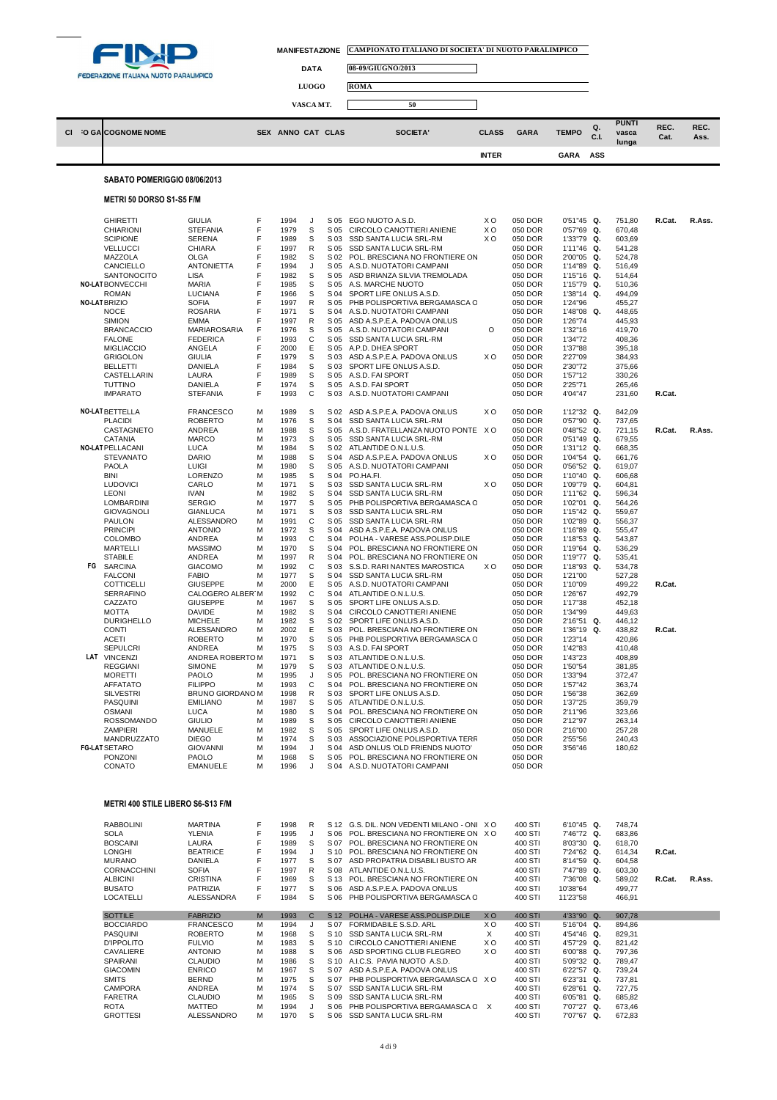

 $\overline{\phantom{a}}$ 

L.

| MANIFESTAZIONE CAMPIONATO ITALIANO DI SOCIETA' DI NUOTO PARALIMPICO |  |
|---------------------------------------------------------------------|--|
|                                                                     |  |

٦

**DATA 08-09/GIUGNO/2013**

**LUOGO ROMA**

|  |                              | VASCA MT.         | 50       |              |             |              |            |                                |              |              |
|--|------------------------------|-------------------|----------|--------------|-------------|--------------|------------|--------------------------------|--------------|--------------|
|  | CI O GALCOGNOME NOME         | SEX ANNO CAT CLAS | SOCIETA' | <b>CLASS</b> | <b>GARA</b> | <b>TEMPO</b> | Q.<br>C.I. | <b>PUNTI</b><br>vasca<br>lunga | REC.<br>Cat. | REC.<br>Ass. |
|  |                              |                   |          | <b>INTER</b> |             | <b>GARA</b>  | ASS        |                                |              |              |
|  | SABATO POMERIGGIO 08/06/2013 |                   |          |              |             |              |            |                                |              |              |

## **METRI 50 DORSO S1-S5 F/M**

|    | <b>GHIRETTI</b><br>CHIARIONI<br><b>SCIPIONE</b><br><b>VELLUCCI</b><br>MAZZOLA<br>CANCIELLO<br>SANTONOCITO<br><b>NO-LAT BONVECCHI</b><br><b>ROMAN</b><br>NO-LAT BRIZIO<br><b>NOCE</b><br><b>SIMION</b><br><b>BRANCACCIO</b><br><b>FALONE</b><br><b>MIGLIACCIO</b><br><b>GRIGOLON</b><br><b>BELLETTI</b><br>CASTELLARIN<br><b>TUTTINO</b><br><b>IMPARATO</b>  | GIULIA<br><b>STEFANIA</b><br><b>SERENA</b><br>CHIARA<br><b>OLGA</b><br><b>ANTONIETTA</b><br><b>LISA</b><br><b>MARIA</b><br>LUCIANA<br><b>SOFIA</b><br><b>ROSARIA</b><br><b>EMMA</b><br>MARIAROSARIA<br><b>FEDERICA</b><br>ANGELA<br>GIULIA<br>DANIELA<br>LAURA<br><b>DANIELA</b><br><b>STEFANIA</b>                                                           | F<br>F<br>F<br>F<br>F<br>F<br>F<br>F<br>F<br>F<br>F<br>F<br>F<br>F<br>F<br>F<br>F<br>F<br>F<br>F | 1994<br>1979<br>1989<br>1997<br>1982<br>1994<br>1982<br>1985<br>1966<br>1997<br>1971<br>1997<br>1976<br>1993<br>2000<br>1979<br>1984<br>1989<br>1974<br>1993                 | J<br>S<br>S<br>R<br>s<br>J<br>S<br>s<br>s<br>R<br>S<br>R<br>s<br>С<br>E<br>S<br>S<br>s<br>s<br>С           | S 05<br>S 05<br>S 03<br>S 05<br>S 02<br>S 05<br>S 05<br>S 05<br>S 04<br>S 05<br>S 04<br>S 05<br>S 05<br>S 05<br>S 05<br>S 03<br>S 03<br>S 05<br>S 05<br>S 03                 | EGO NUOTO A.S.D.<br>CIRCOLO CANOTTIERI ANIENE<br>SSD SANTA LUCIA SRL-RM<br>SSD SANTA LUCIA SRL-RM<br>POL. BRESCIANA NO FRONTIERE ON<br>A.S.D. NUOTATORI CAMPANI<br>ASD BRIANZA SILVIA TREMOLADA<br>A.S. MARCHE NUOTO<br>SPORT LIFE ONLUS A.S.D.<br>PHB POLISPORTIVA BERGAMASCA C<br>A.S.D. NUOTATORI CAMPANI<br>ASD A.S.P.E.A. PADOVA ONLUS<br>A.S.D. NUOTATORI CAMPANI<br>SSD SANTA LUCIA SRL-RM<br>A.P.D. DHEA SPORT<br>ASD A.S.P.E.A. PADOVA ONLUS<br>SPORT LIFE ONLUS A.S.D.<br>A.S.D. FAI SPORT<br>A.S.D. FAI SPORT<br>A.S.D. NUOTATORI CAMPANI                                                                                                   | ХO<br>ХO<br>XO<br>O<br>xо | 050 DOR<br>050 DOR<br>050 DOR<br>050 DOR<br>050 DOR<br>050 DOR<br>050 DOR<br>050 DOR<br>050 DOR<br>050 DOR<br>050 DOR<br>050 DOR<br>050 DOR<br>050 DOR<br>050 DOR<br>050 DOR<br>050 DOR<br>050 DOR<br>050 DOR<br>050 DOR                       | $0'51''45$ Q.<br>0'57"69 Q.<br>1'33"79 Q.<br>1'11"46<br>2'00"05 Q.<br>1'14"89 Q.<br>1'15"16 Q.<br>1'15"79 Q.<br>1'38"14 Q.<br>1'24"96<br>1'48"08 Q.<br>1'26"74<br>1'32"16<br>1'34"72<br>1'37"88<br>2'27"09<br>2'30"72<br>1'57"12<br>2'25"71<br>4'04"47 | Q.             | 751,80<br>670,48<br>603,69<br>541,28<br>524,78<br>516,49<br>514,64<br>510,36<br>494,09<br>455,27<br>448,65<br>445,93<br>419,70<br>408,36<br>395,18<br>384,93<br>375,66<br>330,26<br>265,46<br>231,60 | R.Cat.<br>R.Cat. | R.Ass. |
|----|-------------------------------------------------------------------------------------------------------------------------------------------------------------------------------------------------------------------------------------------------------------------------------------------------------------------------------------------------------------|---------------------------------------------------------------------------------------------------------------------------------------------------------------------------------------------------------------------------------------------------------------------------------------------------------------------------------------------------------------|--------------------------------------------------------------------------------------------------|------------------------------------------------------------------------------------------------------------------------------------------------------------------------------|------------------------------------------------------------------------------------------------------------|------------------------------------------------------------------------------------------------------------------------------------------------------------------------------|--------------------------------------------------------------------------------------------------------------------------------------------------------------------------------------------------------------------------------------------------------------------------------------------------------------------------------------------------------------------------------------------------------------------------------------------------------------------------------------------------------------------------------------------------------------------------------------------------------------------------------------------------------|---------------------------|------------------------------------------------------------------------------------------------------------------------------------------------------------------------------------------------------------------------------------------------|--------------------------------------------------------------------------------------------------------------------------------------------------------------------------------------------------------------------------------------------------------|----------------|------------------------------------------------------------------------------------------------------------------------------------------------------------------------------------------------------|------------------|--------|
|    |                                                                                                                                                                                                                                                                                                                                                             |                                                                                                                                                                                                                                                                                                                                                               |                                                                                                  |                                                                                                                                                                              |                                                                                                            |                                                                                                                                                                              |                                                                                                                                                                                                                                                                                                                                                                                                                                                                                                                                                                                                                                                        |                           |                                                                                                                                                                                                                                                |                                                                                                                                                                                                                                                        |                |                                                                                                                                                                                                      |                  |        |
| FG | <b>NO-LAT BETTELLA</b><br><b>PLACIDI</b><br>CASTAGNETO<br>CATANIA<br><b>NO-LAT PELLACANI</b><br><b>STEVANATO</b><br><b>PAOLA</b><br><b>BINI</b><br><b>LUDOVICI</b><br><b>LEONI</b><br><b>LOMBARDINI</b><br><b>GIOVAGNOLI</b><br>PAULON<br><b>PRINCIPI</b><br><b>COLOMBO</b><br><b>MARTELLI</b><br><b>STABILE</b><br><b>SARCINA</b>                          | <b>FRANCESCO</b><br><b>ROBERTO</b><br>ANDREA<br><b>MARCO</b><br><b>LUCA</b><br><b>DARIO</b><br><b>LUIGI</b><br><b>LORENZO</b><br>CARLO<br><b>IVAN</b><br><b>SERGIO</b><br><b>GIANLUCA</b><br>ALESSANDRO<br><b>ANTONIO</b><br>ANDREA<br><b>MASSIMO</b><br>ANDREA<br><b>GIACOMO</b>                                                                             | M<br>M<br>M<br>M<br>M<br>M<br>М<br>M<br>M<br>M<br>M<br>M<br>М<br>М<br>M<br>M<br>M<br>M           | 1989<br>1976<br>1988<br>1973<br>1984<br>1988<br>1980<br>1985<br>1971<br>1982<br>1977<br>1971<br>1991<br>1972<br>1993<br>1970<br>1997<br>1992                                 | S<br>s<br>s<br>S<br>S<br>s<br>S<br>s<br>S<br>s<br>s<br>S<br>С<br>S<br>С<br>s<br>R<br>С                     | S 02<br>S 04<br>S 05<br>S 05<br>S 02<br>S 04<br>S 05<br>S 04<br>S 04<br>S 05<br>S 03<br>S 05<br>S 04<br>S 04<br>S 04<br>S 04<br>S 03                                         | ASD A.S.P.E.A. PADOVA ONLUS<br>SSD SANTA LUCIA SRL-RM<br>A.S.D. FRATELLANZA NUOTO PONTE X O<br>SSD SANTA LUCIA SRL-RM<br>ATLANTIDE O.N.L.U.S.<br>ASD A.S.P.E.A. PADOVA ONLUS<br>A.S.D. NUOTATORI CAMPANI<br>PO.HA.FI.<br>S 03 SSD SANTA LUCIA SRL-RM<br>SSD SANTA LUCIA SRL-RM<br>PHB POLISPORTIVA BERGAMASCA C<br>SSD SANTA LUCIA SRL-RM<br>SSD SANTA LUCIA SRL-RM<br>ASD A.S.P.E.A. PADOVA ONLUS<br>POLHA - VARESE ASS.POLISP.DILE<br>POL. BRESCIANA NO FRONTIERE ON<br>POL. BRESCIANA NO FRONTIERE ON<br>S.S.D. RARI NANTES MAROSTICA                                                                                                               | XO<br>ХO<br>ХO<br>XO      | 050 DOR<br>050 DOR<br>050 DOR<br>050 DOR<br>050 DOR<br>050 DOR<br>050 DOR<br>050 DOR<br>050 DOR<br>050 DOR<br>050 DOR<br>050 DOR<br>050 DOR<br>050 DOR<br>050 DOR<br>050 DOR<br>050 DOR<br>050 DOR                                             | 1'12"32 Q.<br>0'57"90<br>0'48"52 Q.<br>$0'51''49$ Q.<br>1'31"12 Q.<br>1'04"54 Q.<br>0'56"52 Q.<br>1'10"40 Q.<br>1'09"79 Q.<br>1'11"62 Q.<br>1'02"01 Q.<br>1'15"42 Q.<br>1'02"89 Q.<br>1'16"89<br>1'18"53 Q.<br>1'19"64 Q.<br>1'19"77<br>1'18"93 Q.     | Q.<br>Q.<br>Q. | 842,09<br>737,65<br>721,15<br>679,55<br>668,35<br>661,76<br>619,07<br>606,68<br>604,81<br>596,34<br>564,26<br>559,67<br>556,37<br>555,47<br>543,87<br>536,29<br>535,41<br>534,78                     | R.Cat.           | R.Ass. |
|    | <b>FALCONI</b><br>COTTICELLI<br><b>SERRAFINO</b><br>CAZZATO<br>MOTTA<br><b>DURIGHELLO</b><br><b>CONTI</b><br><b>ACETI</b><br><b>SEPULCRI</b><br>LAT VINCENZI<br><b>REGGIANI</b><br><b>MORETTI</b><br><b>AFFATATO</b><br><b>SILVESTRI</b><br>PASQUINI<br><b>OSMANI</b><br>ROSSOMANDO<br>ZAMPIERI<br>MANDRUZZATO<br><b>FG-LAT SETARO</b><br>PONZONI<br>CONATO | <b>FABIO</b><br>GIUSEPPE<br>CALOGERO ALBER'M<br><b>GIUSEPPE</b><br><b>DAVIDE</b><br><b>MICHELE</b><br>ALESSANDRO<br><b>ROBERTO</b><br>ANDREA<br>ANDREA ROBERTO M<br><b>SIMONE</b><br><b>PAOLO</b><br><b>FILIPPO</b><br>BRUNO GIORDANO M<br><b>EMILIANO</b><br>LUCA<br><b>GIULIO</b><br>MANUELE<br><b>DIEGO</b><br><b>GIOVANNI</b><br>PAOLO<br><b>EMANUELE</b> | M<br>М<br>M<br>M<br>M<br>М<br>M<br>М<br>M<br>M<br>М<br>M<br>M<br>M<br>M<br>M<br>M<br>М<br>М      | 1977<br>2000<br>1992<br>1967<br>1982<br>1982<br>2002<br>1970<br>1975<br>1971<br>1979<br>1995<br>1993<br>1998<br>1987<br>1980<br>1989<br>1982<br>1974<br>1994<br>1968<br>1996 | s<br>E<br>С<br>s<br>s<br>s<br>E<br>S<br>s<br>S<br>S<br>J<br>С<br>R<br>s<br>S<br>S<br>s<br>s<br>J<br>S<br>J | S 04<br>S 05<br>S 04<br>S 05<br>S 04<br>S 02<br>S 03<br>S 05<br>S 03<br>S 03<br>S 03<br>S 05<br>S 04<br>S 03<br>S 05<br>S 04<br>S 05<br>S 05<br>S 03<br>S 04<br>S 05<br>S 04 | SSD SANTA LUCIA SRL-RM<br>A.S.D. NUOTATORI CAMPANI<br>ATLANTIDE O.N.L.U.S.<br>SPORT LIFE ONLUS A.S.D.<br>CIRCOLO CANOTTIERI ANIENE<br>SPORT LIFE ONLUS A.S.D.<br>POL. BRESCIANA NO FRONTIERE ON<br>PHB POLISPORTIVA BERGAMASCA C<br>A.S.D. FAI SPORT<br>ATLANTIDE O.N.L.U.S.<br>ATLANTIDE O.N.L.U.S.<br>POL. BRESCIANA NO FRONTIERE ON<br>POL. BRESCIANA NO FRONTIERE ON<br>SPORT LIFE ONLUS A.S.D.<br>ATLANTIDE O.N.L.U.S.<br>POL. BRESCIANA NO FRONTIERE ON<br>CIRCOLO CANOTTIERI ANIENE<br>SPORT LIFE ONLUS A.S.D.<br>ASSOCIAZIONE POLISPORTIVA TERR<br>ASD ONLUS 'OLD FRIENDS NUOTO'<br>POL. BRESCIANA NO FRONTIERE ON<br>A.S.D. NUOTATORI CAMPANI |                           | 050 DOR<br>050 DOR<br>050 DOR<br>050 DOR<br>050 DOR<br>050 DOR<br>050 DOR<br>050 DOR<br>050 DOR<br>050 DOR<br>050 DOR<br>050 DOR<br>050 DOR<br>050 DOR<br>050 DOR<br>050 DOR<br>050 DOR<br>050 DOR<br>050 DOR<br>050 DOR<br>050 DOR<br>050 DOR | 1'21"00<br>1'10"09<br>1'26"67<br>1'17"38<br>1'34"99<br>2'16"51 Q.<br>1'36"19 Q.<br>1'23"14<br>1'42"83<br>1'43"23<br>1'50"54<br>1'33"94<br>1'57"42<br>1'56"38<br>1'37"25<br>2'11"96<br>2'12"97<br>2'16"00<br>2'55"56<br>3'56"46                         |                | 527,28<br>499,22<br>492,79<br>452,18<br>449,63<br>446,12<br>438,82<br>420,86<br>410,48<br>408,89<br>381,85<br>372,47<br>363,74<br>362,69<br>359,79<br>323,66<br>263,14<br>257,28<br>240,43<br>180,62 | R.Cat.<br>R.Cat. |        |
|    | METRI 400 STILE LIBERO S6-S13 F/M                                                                                                                                                                                                                                                                                                                           |                                                                                                                                                                                                                                                                                                                                                               |                                                                                                  |                                                                                                                                                                              |                                                                                                            |                                                                                                                                                                              |                                                                                                                                                                                                                                                                                                                                                                                                                                                                                                                                                                                                                                                        |                           |                                                                                                                                                                                                                                                |                                                                                                                                                                                                                                                        |                |                                                                                                                                                                                                      |                  |        |
|    | <b>RABBOLINI</b><br><b>SOLA</b><br><b>BOSCAINI</b><br>LONGHI<br><b>MURANO</b><br>CORNACCHINI<br><b>ALBICINI</b><br><b>BUSATO</b><br><b>LOCATELLI</b>                                                                                                                                                                                                        | <b>MARTINA</b><br><b>YLENIA</b><br>LAURA<br><b>BEATRICE</b><br><b>DANIELA</b><br><b>SOFIA</b><br><b>CRISTINA</b><br><b>PATRIZIA</b><br>ALESSANDRA                                                                                                                                                                                                             | F<br>F<br>F<br>F<br>F<br>F<br>F<br>F<br>F                                                        | 1998<br>1995<br>1989<br>1994<br>1977<br>1997<br>1969<br>1977<br>1984                                                                                                         | R<br>J<br>S<br>J<br>s<br>R<br>s<br>s<br>s                                                                  | S 06<br>S 07<br>S 10<br>S 08<br>S 13<br>S 06<br>S 06                                                                                                                         | S 12 G.S. DIL. NON VEDENTI MILANO - ONI X O<br>POL. BRESCIANA NO FRONTIERE ON XO<br>POL. BRESCIANA NO FRONTIERE ON<br>POL. BRESCIANA NO FRONTIERE ON<br>S 07 ASD PROPATRIA DISABILI BUSTO AR<br>ATLANTIDE O.N.L.U.S.<br>POL. BRESCIANA NO FRONTIERE ON<br>ASD A.S.P.E.A. PADOVA ONLUS<br>PHB POLISPORTIVA BERGAMASCA C                                                                                                                                                                                                                                                                                                                                 |                           | 400 STI<br>400 STI<br>400 STI<br>400 STI<br>400 STI<br>400 STI<br>400 STI<br>400 STI<br>400 STI                                                                                                                                                | 6'10"45 Q.<br>7'46"72 Q.<br>8'03"30 Q.<br>7'24"62 Q.<br>8'14"59 Q.<br>7'47"89 Q.<br>7'36"08 Q.<br>10'38"64<br>11'23"58                                                                                                                                 |                | 748,74<br>683,86<br>618,70<br>614,34<br>604,58<br>603,30<br>589,02<br>499,77<br>466,91                                                                                                               | R.Cat.<br>R.Cat. | R.Ass. |
|    | <b>SOTTILE</b><br><b>BOCCIARDO</b>                                                                                                                                                                                                                                                                                                                          | <b>FABRIZIO</b><br><b>FRANCESCO</b>                                                                                                                                                                                                                                                                                                                           | M<br>M                                                                                           | 1993<br>1994                                                                                                                                                                 | $\mathsf{C}$<br>J                                                                                          | S 12<br>S 07                                                                                                                                                                 | POLHA - VARESE ASS.POLISP.DILE<br>FORMIDABILE S.S.D. ARL                                                                                                                                                                                                                                                                                                                                                                                                                                                                                                                                                                                               | XO<br>ХO                  | <b>400 STI</b><br>400 STI                                                                                                                                                                                                                      | 4'33"90 Q.<br>5'16"04 Q.                                                                                                                                                                                                                               |                | 907,78<br>894,86                                                                                                                                                                                     |                  |        |
|    | <b>PASQUINI</b><br><b>D'IPPOLITO</b><br>CAVALIERE<br><b>SPAIRANI</b><br><b>GIACOMIN</b><br><b>SMITS</b><br>CAMPORA<br>FARETRA<br><b>ROTA</b><br><b>GROTTESI</b>                                                                                                                                                                                             | <b>ROBERTO</b><br><b>FULVIO</b><br><b>ANTONIO</b><br><b>CLAUDIO</b><br><b>ENRICO</b><br><b>BERND</b><br>ANDREA<br>CLAUDIO<br><b>MATTEO</b><br>ALESSANDRO                                                                                                                                                                                                      | M<br>M<br>M<br>M<br>M<br>M<br>M<br>M<br>М<br>M                                                   | 1968<br>1983<br>1988<br>1986<br>1967<br>1975<br>1974<br>1965<br>1994<br>1970                                                                                                 | s<br>s<br>s<br>s<br>S<br>s<br>s<br>s<br>J<br>s                                                             | S 10<br>S 10<br>S 06<br>S 07<br>S 07<br>S 07<br>S 09<br>S 06                                                                                                                 | SSD SANTA LUCIA SRL-RM<br>CIRCOLO CANOTTIERI ANIENE<br>ASD SPORTING CLUB FLEGREO<br>S 10 A.I.C.S. PAVIA NUOTO A.S.D.<br>ASD A.S.P.E.A. PADOVA ONLUS<br>PHB POLISPORTIVA BERGAMASCA C XO<br>SSD SANTA LUCIA SRL-RM<br>SSD SANTA LUCIA SRL-RM<br>PHB POLISPORTIVA BERGAMASCA C X<br>S 06 SSD SANTA LUCIA SRL-RM                                                                                                                                                                                                                                                                                                                                          | X<br>XO<br>xо             | 400 STI<br>400 STI<br>400 STI<br>400 STI<br>400 STI<br>400 STI<br>400 STI<br>400 STI<br>400 STI<br>400 STI                                                                                                                                     | 4'54"46 Q.<br>4'57"29 Q.<br>6'00"88 Q.<br>5'09"32 Q.<br>6'22"57 Q.<br>6'23"31 Q.<br>6'28"61 Q.<br>6'05"81 Q.<br>7'07"27 Q.<br>7'07"67 Q.                                                                                                               |                | 829,31<br>821,42<br>797,36<br>789,47<br>739,24<br>737,81<br>727,75<br>685,82<br>673,46<br>672,83                                                                                                     |                  |        |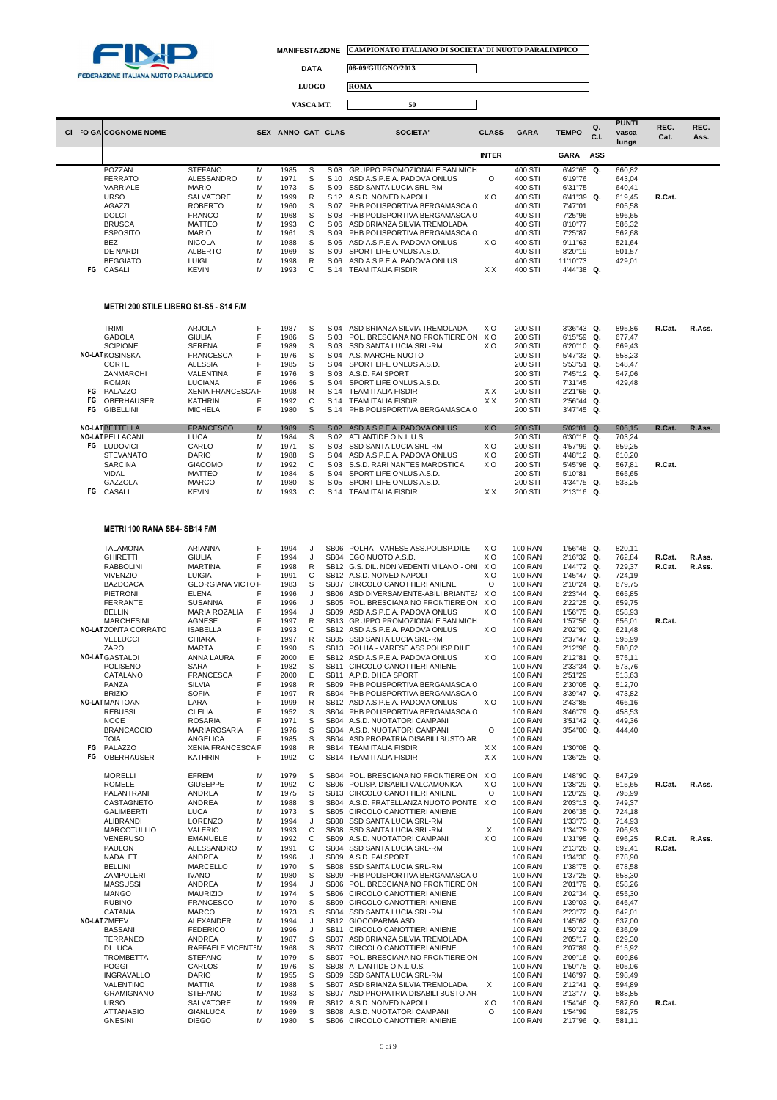

┓

**DATA 08-09/GIUGNO/2013**

**LUOGO ROMA**

|    |                                        |                          |   |                   | VASCA MT. |      | 50                                |                |             |              |            |                                |              |              |
|----|----------------------------------------|--------------------------|---|-------------------|-----------|------|-----------------------------------|----------------|-------------|--------------|------------|--------------------------------|--------------|--------------|
|    | <b>O GALCOGNOME NOME</b>               |                          |   | SEX ANNO CAT CLAS |           |      | SOCIETA'                          | <b>CLASS</b>   | <b>GARA</b> | <b>TEMPO</b> | Q.<br>C.I. | <b>PUNTI</b><br>vasca<br>lunga | REC.<br>Cat. | REC.<br>Ass. |
|    |                                        |                          |   |                   |           |      |                                   | <b>INTER</b>   |             | <b>GARA</b>  | ASS        |                                |              |              |
|    | POZZAN                                 | <b>STEFANO</b>           | M | 1985              | S         | S 08 | GRUPPO PROMOZIONALE SAN MICH      |                | 400 STI     | 6'42"65 Q.   |            | 660,82                         |              |              |
|    | <b>FERRATO</b>                         | <b>ALESSANDRO</b>        | M | 1971              | S         | S 10 | ASD A.S.P.E.A. PADOVA ONLUS       | O              | 400 STI     | 6'19"76      |            | 643,04                         |              |              |
|    | VARRIALE                               | <b>MARIO</b>             | M | 1973              | S         | S 09 | SSD SANTA LUCIA SRL-RM            |                | 400 STI     | 6'31"75      |            | 640,41                         |              |              |
|    | <b>URSO</b>                            | <b>SALVATORE</b>         | M | 1999              | R         | S 12 | A.S.D. NOIVED NAPOLI              | X <sub>O</sub> | 400 STI     | 6'41"39 Q.   |            | 619,45                         | R.Cat.       |              |
|    | <b>AGAZZI</b>                          | <b>ROBERTO</b>           | M | 1960              | S         | S 07 | PHB POLISPORTIVA BERGAMASCA C     |                | 400 STI     | 7'47"01      |            | 605,58                         |              |              |
|    | <b>DOLCI</b>                           | <b>FRANCO</b>            | M | 1968              | S         | S 08 | PHB POLISPORTIVA BERGAMASCA O     |                | 400 STI     | 7'25"96      |            | 596,65                         |              |              |
|    | <b>BRUSCA</b>                          | <b>MATTEO</b>            | M | 1993              | C         | S 06 | ASD BRIANZA SILVIA TREMOLADA      |                | 400 STI     | 8'10"77      |            | 586,32                         |              |              |
|    | <b>ESPOSITO</b>                        | <b>MARIO</b>             | M | 1961              | S         | S 09 | PHB POLISPORTIVA BERGAMASCA C     |                | 400 STI     | 7'25"87      |            | 562,68                         |              |              |
|    | <b>BEZ</b>                             | <b>NICOLA</b>            | M | 1988              | S         | S 06 | ASD A.S.P.E.A. PADOVA ONLUS       | <b>XO</b>      | 400 STI     | 9'11"63      |            | 521,64                         |              |              |
|    | <b>DE NARDI</b>                        | <b>ALBERTO</b>           | M | 1969              | S         | S 09 | SPORT LIFE ONLUS A.S.D.           |                | 400 STI     | 8'20"19      |            | 501,57                         |              |              |
|    | <b>BEGGIATO</b>                        | LUIGI                    | M | 1998              | R         | S 06 | ASD A.S.P.E.A. PADOVA ONLUS       |                | 400 STI     | 11'10"73     |            | 429,01                         |              |              |
| FG | CASALI                                 | <b>KEVIN</b>             | M | 1993              | C         | S 14 | <b>TEAM ITALIA FISDIR</b>         | <b>XX</b>      | 400 STI     | 4'44"38 Q.   |            |                                |              |              |
|    | METRI 200 STILE LIBERO S1-S5 - S14 F/M |                          |   |                   |           |      |                                   |                |             |              |            |                                |              |              |
|    | TRIMI                                  | <b>ARJOLA</b>            | F | 1987              | S         | S 04 | ASD BRIANZA SILVIA TREMOLADA      | <b>XO</b>      | 200 STI     | 3'36"43 Q.   |            | 895,86                         | R.Cat.       | R.Ass.       |
|    | <b>GADOLA</b>                          | <b>GIULIA</b>            | F | 1986              | S         | S 03 | POL. BRESCIANA NO FRONTIERE ON XO |                | 200 STI     | 6'15"59 Q.   |            | 677,47                         |              |              |
|    | <b>SCIPIONE</b>                        | <b>SERENA</b>            |   | 1989              | S         | S 03 | SSD SANTA LUCIA SRL-RM            | X <sub>O</sub> | 200 STI     | 6'20"10 Q.   |            | 669.43                         |              |              |
|    | <b>NO-LAT KOSINSKA</b>                 | <b>FRANCESCA</b>         |   | 1976              | S         | S 04 | A.S. MARCHE NUOTO                 |                | 200 STI     | 5'47"33 Q.   |            | 558,23                         |              |              |
|    | CORTE                                  | <b>ALESSIA</b>           |   | 1985              | S         | S 04 | SPORT LIFE ONLUS A.S.D.           |                | 200 STI     | 5'53"51 Q.   |            | 548,47                         |              |              |
|    | ZANMARCHI                              | VALENTINA                |   | 1976              | S         | S 03 | A.S.D. FAI SPORT                  |                | 200 STI     | 7'45"12 Q.   |            | 547.06                         |              |              |
|    | <b>ROMAN</b>                           | <b>LUCIANA</b>           |   | 1966              | S         | S 04 | SPORT LIFE ONLUS A.S.D.           |                | 200 STI     | 7'31"45      |            | 429,48                         |              |              |
| FG | PALAZZO                                | <b>XENIA FRANCESCA F</b> |   | 1998              | R         | S 14 | <b>TEAM ITALIA FISDIR</b>         | XX             | 200 STI     | 2'21"66 Q.   |            |                                |              |              |
| FG | OBERHAUSER                             | <b>KATHRIN</b>           |   | 1992              | C         | S 14 | <b>TEAM ITALIA FISDIR</b>         | XX             | 200 STI     | 2'56"44 Q.   |            |                                |              |              |
| FG | <b>GIBELLINI</b>                       | <b>MICHELA</b>           | F | 1980              | S         | S 14 | PHB POLISPORTIVA BERGAMASCA C     |                | 200 STI     | 3'47"45 Q.   |            |                                |              |              |

| гu | <b>GIDELLINI</b>        | <b>IVIIU TELA</b> |   | l aon | $\mathbf{\Omega}$ | ۱4 ت            | PHD PULISPURTIVA BERGAMASCA C     |                | <b>200 STI</b> | -947 49 W     |           |        |        |        |
|----|-------------------------|-------------------|---|-------|-------------------|-----------------|-----------------------------------|----------------|----------------|---------------|-----------|--------|--------|--------|
|    | <b>NO-LATBETTELLA</b>   | <b>FRANCESCO</b>  | M | 1989  |                   | S <sub>02</sub> | ASD A.S.P.E.A. PADOVA ONLUS       | X <sub>O</sub> | <b>200 STI</b> | 5'02"81       | <b>Q.</b> | 906.15 | R.Cat. | R.Ass. |
|    | <b>NO-LAT PELLACANI</b> | LUCA              | м | 1984  | S                 |                 | S 02 ATLANTIDE O.N.L.U.S.         |                | 200 STI        | 6'30"18 Q.    |           | 703.24 |        |        |
| FG | <b>LUDOVICI</b>         | CARLO             | м | 1971  | S                 |                 | S 03 SSD SANTA LUCIA SRL-RM       | xο             | 200 STI        | $4'57''99$ Q. |           | 659.25 |        |        |
|    | <b>STEVANATO</b>        | <b>DARIO</b>      | м | 1988  |                   | S 04            | ASD A.S.P.E.A. PADOVA ONLUS       | xо             | 200 STI        | 4'48"12 Q.    |           | 610.20 |        |        |
|    | <b>SARCINA</b>          | <b>GIACOMO</b>    | м | 1992  |                   |                 | S 03 S.S.D. RARI NANTES MAROSTICA | xо             | 200 STI        | 5'45"98 Q.    |           | 567.81 | R.Cat. |        |
|    | <b>VIDAL</b>            | <b>MATTEO</b>     | м | 1984  | S                 | S 04            | SPORT LIFE ONLUS A.S.D.           |                | 200 STI        | 5'10"81       |           | 565.65 |        |        |
|    | <b>GAZZOLA</b>          | <b>MARCO</b>      | м | 1980  | S.                | S 05            | SPORT LIFE ONLUS A.S.D.           |                | 200 STI        | 4'34"75 Q.    |           | 533.25 |        |        |
| FG | CASALI                  | <b>KEVIN</b>      | M | 1993  |                   | S 14            | <b>TEAM ITALIA FISDIR</b>         | ХX             | 200 STI        | 2'13"16 Q.    |           |        |        |        |
|    |                         |                   |   |       |                   |                 |                                   |                |                |               |           |        |        |        |

### **METRI 100 RANA SB4- SB14 F/M**

|    | <b>TALAMONA</b>       | ARIANNA                  | F | 1994 | J            | SB06 POLHA - VARESE ASS.POLISP.DILE         | xо             | <b>100 RAN</b> | 1'56"46 Q. | 820,11 |        |        |
|----|-----------------------|--------------------------|---|------|--------------|---------------------------------------------|----------------|----------------|------------|--------|--------|--------|
|    | <b>GHIRETTI</b>       | <b>GIULIA</b>            | F | 1994 | J            | SB04 EGO NUOTO A.S.D.                       | X <sub>O</sub> | <b>100 RAN</b> | 2'16"32 Q. | 762,84 | R.Cat. | R.Ass. |
|    | <b>RABBOLINI</b>      | <b>MARTINA</b>           | F | 1998 | R            | SB12 G.S. DIL. NON VEDENTI MILANO - ONI X O |                | <b>100 RAN</b> | 1'44"72 Q. | 729,37 | R.Cat. | R.Ass. |
|    | <b>VIVENZIO</b>       | <b>LUIGIA</b>            | F | 1991 | C            | SB12 A.S.D. NOIVED NAPOLI                   | X <sub>O</sub> | <b>100 RAN</b> | 1'45"47 Q. | 724.19 |        |        |
|    | <b>BAZDOACA</b>       | <b>GEORGIANA VICTO F</b> |   | 1983 | S            | SB07 CIRCOLO CANOTTIERI ANIENE              | $\circ$        | <b>100 RAN</b> | 2'10"24 Q. | 679,75 |        |        |
|    | <b>PIETRONI</b>       | <b>ELENA</b>             | F | 1996 | J            | SB06 ASD DIVERSAMENTE-ABILI BRIANTE/ XO     |                | <b>100 RAN</b> | 2'23"44 Q. | 665.85 |        |        |
|    | <b>FERRANTE</b>       | <b>SUSANNA</b>           | F | 1996 | J            | SB05 POL. BRESCIANA NO FRONTIERE ON XO      |                | <b>100 RAN</b> | 2'22"25 Q. | 659,75 |        |        |
|    | <b>BELLIN</b>         | <b>MARIA ROZALIA</b>     | F | 1994 | J            | SB09 ASD A.S.P.E.A. PADOVA ONLUS            | XO.            | <b>100 RAN</b> | 1'56"75 Q. | 658.93 |        |        |
|    | <b>MARCHESINI</b>     | <b>AGNESE</b>            | F | 1997 | $\mathsf{R}$ | SB13 GRUPPO PROMOZIONALE SAN MICH           |                | <b>100 RAN</b> | 1'57"56 Q. | 656.01 | R.Cat. |        |
|    | NO-LATZONTA CORRATO   | <b>ISABELLA</b>          | F | 1993 | C            | SB12 ASD A.S.P.E.A. PADOVA ONLUS            | X <sub>O</sub> | <b>100 RAN</b> | 2'02"90 Q. | 621,48 |        |        |
|    | <b>VELLUCCI</b>       | <b>CHIARA</b>            | F | 1997 | R            | SB05 SSD SANTA LUCIA SRL-RM                 |                | <b>100 RAN</b> | 2'37"47 Q. | 595,99 |        |        |
|    | ZARO                  | <b>MARTA</b>             | F | 1990 | S            | SB13 POLHA - VARESE ASS.POLISP.DILE         |                | <b>100 RAN</b> | 2'12"96 Q. | 580.02 |        |        |
|    | NO-LAT GASTALDI       | ANNA LAURA               | F | 2000 | E            | SB12 ASD A.S.P.E.A. PADOVA ONLUS            | XO.            | <b>100 RAN</b> | 2'12"81 Q. |        |        |        |
|    | <b>POLISENO</b>       | <b>SARA</b>              | F |      | S            |                                             |                | <b>100 RAN</b> |            | 575,11 |        |        |
|    |                       |                          |   | 1982 |              | SB11 CIRCOLO CANOTTIERI ANIENE              |                |                | 2'33"34 Q. | 573,76 |        |        |
|    | CATALANO              | <b>FRANCESCA</b>         | F | 2000 | E            | SB11 A.P.D. DHEA SPORT                      |                | <b>100 RAN</b> | 2'51"29    | 513.63 |        |        |
|    | PANZA                 | <b>SILVIA</b>            | F | 1998 | R            | SB09 PHB POLISPORTIVA BERGAMASCA C          |                | <b>100 RAN</b> | 2'30"05 Q. | 512,70 |        |        |
|    | <b>BRIZIO</b>         | <b>SOFIA</b>             | F | 1997 | $\mathsf{R}$ | SB04 PHB POLISPORTIVA BERGAMASCA C          |                | <b>100 RAN</b> | 3'39"47 Q. | 473,82 |        |        |
|    | <b>NO-LAT MANTOAN</b> | LARA                     | F | 1999 | R            | SB12 ASD A.S.P.E.A. PADOVA ONLUS            | X <sub>O</sub> | <b>100 RAN</b> | 2'43"85    | 466,16 |        |        |
|    | <b>REBUSSI</b>        | <b>CLELIA</b>            | F | 1952 | S            | SB04 PHB POLISPORTIVA BERGAMASCA C          |                | <b>100 RAN</b> | 3'46"79 Q. | 458,53 |        |        |
|    | <b>NOCE</b>           | <b>ROSARIA</b>           | F | 1971 | S            | SB04 A.S.D. NUOTATORI CAMPANI               |                | <b>100 RAN</b> | 3'51"42 Q. | 449.36 |        |        |
|    | <b>BRANCACCIO</b>     | MARIAROSARIA             | F | 1976 | S            | SB04 A.S.D. NUOTATORI CAMPANI               | $\circ$        | <b>100 RAN</b> | 3'54"00 Q. | 444,40 |        |        |
|    | <b>TOIA</b>           | <b>ANGELICA</b>          | F | 1985 | S            | SB04 ASD PROPATRIA DISABILI BUSTO AR        |                | <b>100 RAN</b> |            |        |        |        |
| FG | PALAZZO               | <b>XENIA FRANCESCA F</b> |   | 1998 | R            | SB14 TEAM ITALIA FISDIR                     | XX.            | <b>100 RAN</b> | 1'30"08 Q. |        |        |        |
| FG | OBERHAUSER            | <b>KATHRIN</b>           | F | 1992 | C            | SB14 TEAM ITALIA FISDIR                     | XX.            | <b>100 RAN</b> | 1'36"25 Q. |        |        |        |
|    | <b>MORELLI</b>        | EFREM                    | M | 1979 | s            | SB04 POL. BRESCIANA NO FRONTIERE ON         | X O            | <b>100 RAN</b> | 1'48"90 Q. | 847,29 |        |        |
|    | <b>ROMELE</b>         | <b>GIUSEPPE</b>          | M | 1992 | C            | SB06 POLISP. DISABILI VALCAMONICA           | XO.            | <b>100 RAN</b> | 1'38"29 Q. | 815,65 | R.Cat. | R.Ass. |
|    | PALANTRANI            | <b>ANDREA</b>            | M | 1975 | S            | SB13 CIRCOLO CANOTTIERI ANIENE              | $\Omega$       | <b>100 RAN</b> | 1'20"29 Q. | 795,99 |        |        |
|    | CASTAGNETO            | <b>ANDREA</b>            | M | 1988 | S            | SB04 A.S.D. FRATELLANZA NUOTO PONTE X O     |                | <b>100 RAN</b> | 2'03"13 Q. | 749.37 |        |        |
|    | <b>GALIMBERTI</b>     | <b>LUCA</b>              | м | 1973 | S            | SB05 CIRCOLO CANOTTIERI ANIENE              |                | <b>100 RAN</b> | 2'06"35 Q. | 724,18 |        |        |
|    | <b>ALIBRANDI</b>      | <b>LORENZO</b>           | M | 1994 | J            | SB08 SSD SANTA LUCIA SRL-RM                 |                | <b>100 RAN</b> | 1'33"73 Q. | 714,93 |        |        |
|    | <b>MARCOTULLIO</b>    | <b>VALERIO</b>           | M | 1993 | C            | SB08 SSD SANTA LUCIA SRL-RM                 | Χ              | <b>100 RAN</b> | 1'34"79 Q. | 706,93 |        |        |
|    | <b>VENERUSO</b>       | <b>EMANUELE</b>          | M | 1992 | $\mathsf{C}$ | SB09 A.S.D. NUOTATORI CAMPANI               | XO.            | <b>100 RAN</b> | 1'31"95 Q. | 696,25 | R.Cat. | R.Ass. |
|    | <b>PAULON</b>         | ALESSANDRO               | M | 1991 | C            | SB04 SSD SANTA LUCIA SRL-RM                 |                | <b>100 RAN</b> | 2'13"26 Q. | 692,41 | R.Cat. |        |
|    | NADALET               | <b>ANDREA</b>            | M | 1996 | J            | SB09 A.S.D. FAI SPORT                       |                | <b>100 RAN</b> | 1'34"30 Q. | 678,90 |        |        |
|    | <b>BELLINI</b>        | MARCELLO                 | M | 1970 | S            | SB08 SSD SANTA LUCIA SRL-RM                 |                | <b>100 RAN</b> | 1'38"75 Q. | 678,58 |        |        |
|    | ZAMPOLERI             | <b>IVANO</b>             | M | 1980 | S            | SB09 PHB POLISPORTIVA BERGAMASCA C          |                | <b>100 RAN</b> | 1'37"25 Q. | 658,30 |        |        |
|    | <b>MASSUSSI</b>       | <b>ANDREA</b>            | M | 1994 | J            | SB06 POL. BRESCIANA NO FRONTIERE ON         |                | <b>100 RAN</b> | 2'01"79 Q. | 658,26 |        |        |
|    | <b>MANGO</b>          | <b>MAURIZIO</b>          | M | 1974 | s            | SB06 CIRCOLO CANOTTIERI ANIENE              |                | <b>100 RAN</b> | 2'02"34 Q. | 655,30 |        |        |
|    | <b>RUBINO</b>         | <b>FRANCESCO</b>         | M | 1970 | S            | SB09 CIRCOLO CANOTTIERI ANIENE              |                | <b>100 RAN</b> | 1'39"03 Q. | 646.47 |        |        |
|    | <b>CATANIA</b>        | <b>MARCO</b>             | м | 1973 | s            | SB04 SSD SANTA LUCIA SRL-RM                 |                | <b>100 RAN</b> | 2'23"72 Q. | 642,01 |        |        |
|    | NO-LATZMEEV           |                          | M |      | J            |                                             |                |                |            |        |        |        |
|    |                       | ALEXANDER                |   | 1994 |              | SB12 GIOCOPARMA ASD                         |                | <b>100 RAN</b> | 1'45"62 Q. | 637,00 |        |        |
|    | <b>BASSANI</b>        | <b>FEDERICO</b>          | M | 1996 | J            | SB11 CIRCOLO CANOTTIERI ANIENE              |                | <b>100 RAN</b> | 1'50"22 Q. | 636.09 |        |        |
|    | TERRANEO              | <b>ANDREA</b>            | м | 1987 | s            | SB07 ASD BRIANZA SILVIA TREMOLADA           |                | <b>100 RAN</b> | 2'05"17 Q. | 629,30 |        |        |
|    | <b>DI LUCA</b>        | RAFFAELE VICENTEM        |   | 1968 | S            | SB07 CIRCOLO CANOTTIERI ANIENE              |                | <b>100 RAN</b> | 2'07"89 Q. | 615,92 |        |        |
|    | <b>TROMBETTA</b>      | <b>STEFANO</b>           | M | 1979 | s            | SB07 POL. BRESCIANA NO FRONTIERE ON         |                | <b>100 RAN</b> | 2'09"16 Q. | 609,86 |        |        |
|    | <b>POGGI</b>          | CARLOS                   | M | 1976 | s            | SB08 ATLANTIDE O.N.L.U.S.                   |                | <b>100 RAN</b> | 1'50"75 Q. | 605,06 |        |        |
|    | <b>INGRAVALLO</b>     | <b>DARIO</b>             | M | 1955 | S            | SB09 SSD SANTA LUCIA SRL-RM                 |                | <b>100 RAN</b> | 1'46"97 Q. | 598,49 |        |        |
|    | VALENTINO             | MATTIA                   | M | 1988 | S            | SB07 ASD BRIANZA SILVIA TREMOLADA           | $\times$       | <b>100 RAN</b> | 2'12"41 Q. | 594,89 |        |        |
|    | <b>GRAMIGNANO</b>     | <b>STEFANO</b>           | M | 1983 | S            | SB07 ASD PROPATRIA DISABILI BUSTO AR        |                | <b>100 RAN</b> | 2'13"77 Q. | 588,85 |        |        |
|    | <b>URSO</b>           | SALVATORE                | M | 1999 | R            | SB12 A.S.D. NOIVED NAPOLI                   | xо             | <b>100 RAN</b> | 1'54"46 Q. | 587,80 | R.Cat. |        |
|    | <b>ATTANASIO</b>      | <b>GIANLUCA</b>          | M | 1969 | S            | SB08 A.S.D. NUOTATORI CAMPANI               | $\Omega$       | <b>100 RAN</b> | 1'54"99    | 582,75 |        |        |
|    | <b>GNESINI</b>        | <b>DIEGO</b>             | м | 1980 | S            | SB06 CIRCOLO CANOTTIERI ANIENE              |                | <b>100 RAN</b> | 2'17"96 Q. | 581,11 |        |        |
|    |                       |                          |   |      |              |                                             |                |                |            |        |        |        |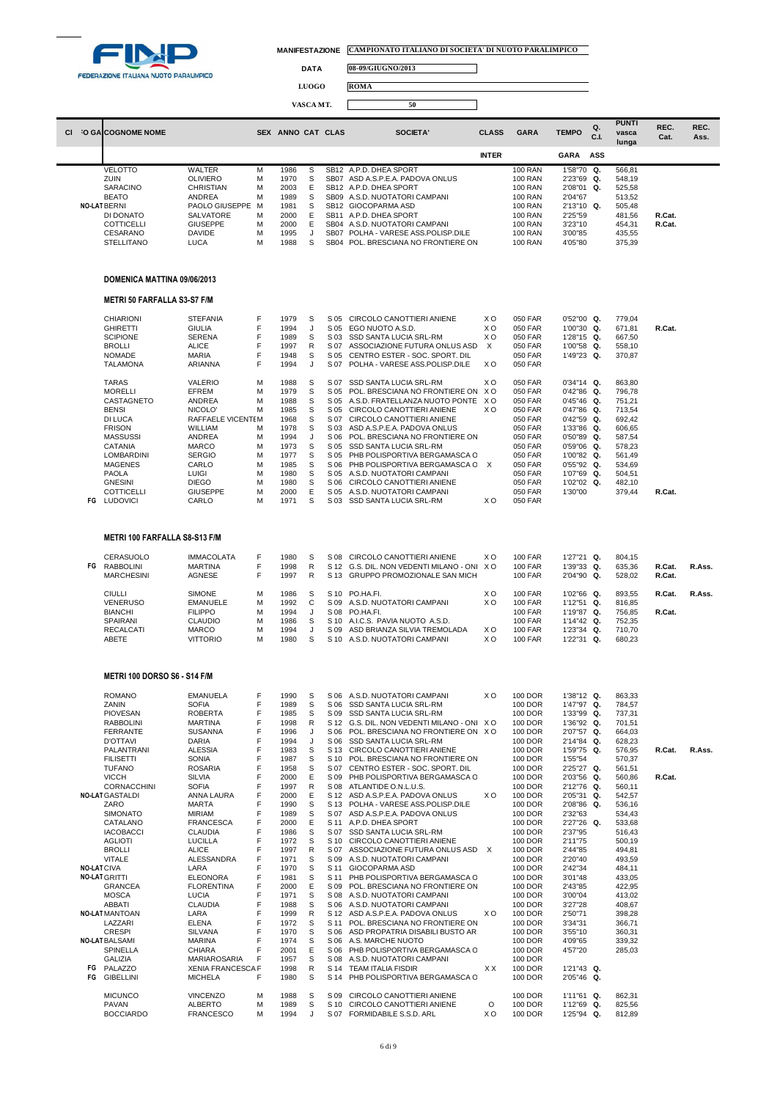

┓

**REC. Ass.**

**DATA 08-09/GIUGNO/2013**

**LUOGO ROMA**

|                      |                  |            |               | VASCA MT. |                  | 50                          |              |                |              |           |                                |              |
|----------------------|------------------|------------|---------------|-----------|------------------|-----------------------------|--------------|----------------|--------------|-----------|--------------------------------|--------------|
| CI O GALCOGNOME NOME |                  | <b>SEX</b> | ANNO CAT CLAS |           |                  | <b>SOCIETA'</b>             | <b>CLASS</b> | <b>GARA</b>    | <b>TEMPO</b> | Q.<br>C.I | <b>PUNTI</b><br>vasca<br>lunga | REC.<br>Cat. |
|                      |                  |            |               |           |                  |                             | <b>INTER</b> |                | <b>GARA</b>  | ASS       |                                |              |
| <b>VELOTTO</b>       | <b>WALTER</b>    | м          | 1986          | S         |                  | SB12 A.P.D. DHEA SPORT      |              | <b>100 RAN</b> | 1'58"70 Q.   |           | 566.81                         |              |
| ZUIN                 | <b>OLIVIERO</b>  | м          | 1970          | s         | SB <sub>07</sub> | ASD A.S.P.E.A. PADOVA ONLUS |              | <b>100 RAN</b> | 2'23"69 Q.   |           | 548.19                         |              |
| <b>SARACINO</b>      | <b>CHRISTIAN</b> | м          | 2003          | F.        |                  | SB12 A.P.D. DHEA SPORT      |              | <b>100 RAN</b> | 2'08"01 Q.   |           | 525.58                         |              |

| טוויטהעמט         | <b>ULIINU LIAI</b> | 1VI. | zuu  |                  |                                | 1991           | <b>200 UT</b> | JLJ.JU |        |
|-------------------|--------------------|------|------|------------------|--------------------------------|----------------|---------------|--------|--------|
| <b>BEATO</b>      | ANDREA             | м    | 1989 | SB <sub>09</sub> | A.S.D. NUOTATORI CAMPANI       | <b>100 RAN</b> | 2'04"67       | 513.52 |        |
| NO-LAT BERNI      | PAOLO GIUSEPPE M   |      | 1981 | <b>SB12</b>      | GIOCOPARMA ASD                 | <b>100 RAN</b> | $2'13''10$ Q. | 505.48 |        |
| DI DONATO         | <b>SALVATORE</b>   | М    | 2000 | SB11             | A.P.D. DHEA SPORT              | <b>100 RAN</b> | 2'25"59       | 481.56 | R.Cat. |
| COTTICELLI        | GIUSEPPE           |      | 2000 |                  | SB04 A.S.D. NUOTATORI CAMPANI  | <b>100 RAN</b> | 3'23"10       | 454.31 | R.Cat. |
| CESARANO          | DAVIDE             |      | 1995 | SB07             | POLHA - VARESE ASS POLISP DILE | <b>100 RAN</b> | 3'00"85       | 435.55 |        |
| <b>STELLITANO</b> | LUCA.              | м    | 1988 | SB04             | POL. BRESCIANA NO FRONTIERE ON | <b>100 RAN</b> | 4'05"80       | 375.39 |        |

# **DOMENICA MATTINA 09/06/2013**

## **METRI 50 FARFALLA S3-S7 F/M**

|    | CHIARIONI       | <b>STEFANIA</b>   |   | 1979 | S | S 05 | CIRCOLO CANOTTIERI ANIENE      | xо  | 050 FAR | $0'52''00$ Q. | 779.04 |        |
|----|-----------------|-------------------|---|------|---|------|--------------------------------|-----|---------|---------------|--------|--------|
|    | <b>GHIRETTI</b> | <b>GIULIA</b>     |   | 1994 |   | S 05 | EGO NUOTO A.S.D.               | xо  | 050 FAR | 1'00"30 Q.    | 671.81 | R.Cat. |
|    | <b>SCIPIONE</b> | <b>SERENA</b>     |   | 1989 | S | S 03 | <b>SSD SANTA LUCIA SRL-RM</b>  | xо  | 050 FAR | 1'28"15 Q.    | 667,50 |        |
|    | BROLLI          | <b>ALICE</b>      |   | 1997 | R | S 07 | ASSOCIAZIONE FUTURA ONLUS ASD  | X   | 050 FAR | 1'00"58 Q.    | 558.10 |        |
|    | <b>NOMADE</b>   | <b>MARIA</b>      |   | 1948 | S | S 05 | CENTRO ESTER - SOC. SPORT. DIL |     | 050 FAR | 1'49"23 Q.    | 370.87 |        |
|    | <b>TALAMONA</b> | ARIANNA           |   | 1994 |   | S 07 | POLHA - VARESE ASS.POLISP.DILE | X O | 050 FAR |               |        |        |
|    | <b>TARAS</b>    | VALERIO           | м | 1988 | S | S 07 | SSD SANTA LUCIA SRL-RM         | X O | 050 FAR | $0'34''14$ Q. | 863.80 |        |
|    | <b>MORELLI</b>  | EFREM             | М | 1979 | S | S 05 | POL. BRESCIANA NO FRONTIERE ON | X O | 050 FAR | $0'42''86$ Q. | 796.78 |        |
|    | CASTAGNETO      | <b>ANDREA</b>     | м | 1988 | S | S 05 | A.S.D. FRATELLANZA NUOTO PONTE | X O | 050 FAR | $0'45''46$ Q. | 751.21 |        |
|    | <b>BENSI</b>    | NICOLO'           | м | 1985 | S | S 05 | CIRCOLO CANOTTIERI ANIENE      | X O | 050 FAR | $0'47''86$ Q. | 713.54 |        |
|    | DI LUCA         | RAFFAELE VICENTEM |   | 1968 | S | S 07 | CIRCOLO CANOTTIERI ANIENE      |     | 050 FAR | $0'42''59$ Q. | 692,42 |        |
|    | <b>FRISON</b>   | <b>WILLIAM</b>    | м | 1978 | S | S 03 | ASD A.S.P.E.A. PADOVA ONLUS    |     | 050 FAR | $1'33''86$ Q. | 606.65 |        |
|    | <b>MASSUSSI</b> | ANDREA            | M | 1994 |   | S 06 | POL. BRESCIANA NO FRONTIERE ON |     | 050 FAR | $0'50''89$ Q. | 587.54 |        |
|    | <b>CATANIA</b>  | <b>MARCO</b>      | м | 1973 | S | S 05 | SSD SANTA LUCIA SRL-RM         |     | 050 FAR | $0'59''06$ Q. | 578.23 |        |
|    | LOMBARDINI      | <b>SERGIO</b>     | M | 1977 | S | S 05 | PHB POLISPORTIVA BERGAMASCA C  |     | 050 FAR | 1'00"82 Q.    | 561,49 |        |
|    | <b>MAGENES</b>  | CARLO             | м | 1985 | S | S 06 | PHB POLISPORTIVA BERGAMASCA C  | X   | 050 FAR | $0'55''92$ Q. | 534.69 |        |
|    | <b>PAOLA</b>    | LUIGI             | М | 1980 | S | S 05 | A.S.D. NUOTATORI CAMPANI       |     | 050 FAR | 1'07"69 Q.    | 504.51 |        |
|    | <b>GNESINI</b>  | <b>DIEGO</b>      | м | 1980 | S | S 06 | CIRCOLO CANOTTIERI ANIENE      |     | 050 FAR | 1'02"02 Q.    | 482.10 |        |
|    | COTTICELLI      | GIUSEPPE          | м | 2000 | Е | S 05 | A.S.D. NUOTATORI CAMPANI       |     | 050 FAR | 1'30"00       | 379.44 | R.Cat. |
| FG | <b>LUDOVICI</b> | CARLO             | м | 1971 | S | S 03 | <b>SSD SANTA LUCIA SRL-RM</b>  | X O | 050 FAR |               |        |        |

## **METRI 100 FARFALLA S8-S13 F/M**

|    | CERASUOLO         | <b>IMMACOLATA</b> |   | 1980 |    | S 08 | CIRCOLO CANOTTIERI ANIENE                   | xο  | <b>100 FAR</b> | 1'27"21       | Q.   | 804.15 |        |        |
|----|-------------------|-------------------|---|------|----|------|---------------------------------------------|-----|----------------|---------------|------|--------|--------|--------|
| FG | <b>RABBOLINI</b>  | <b>MARTINA</b>    |   | 1998 | R  |      | S 12 G.S. DIL. NON VEDENTI MILANO - ONI X O |     | <b>100 FAR</b> | 1'39"33 Q.    |      | 635.36 | R.Cat. | R.Ass. |
|    | <b>MARCHESINI</b> | AGNESE            |   | 1997 | R  |      | S 13 GRUPPO PROMOZIONALE SAN MICH           |     | <b>100 FAR</b> | $2'04''90$ Q. |      | 528.02 | R.Cat. |        |
|    | <b>CIULLI</b>     | <b>SIMONE</b>     | м | 1986 | S. | S 10 | PO HA FI.                                   | xо  | <b>100 FAR</b> | 1'02"66 Q.    |      | 893.55 | R.Cat. | R.Ass. |
|    | <b>VENERUSO</b>   | <b>EMANUELE</b>   | м | 1992 |    |      | S.09 A.S.D. NUOTATORI CAMPANI               | X O | <b>100 FAR</b> | 1'12"51 Q.    |      | 816.85 |        |        |
|    | <b>BIANCHI</b>    | <b>FILIPPO</b>    | м | 1994 |    |      | S 08 PO.HA.FL                               |     | <b>100 FAR</b> | $1'19''87$ Q. |      | 756.85 | R.Cat. |        |
|    | SPAIRANI          | <b>CLAUDIO</b>    | м | 1986 | S. |      | S 10 A.I.C.S. PAVIA NUOTO A.S.D.            |     | 100 FAR        | $1'14''42$ Q. |      | 752.35 |        |        |
|    | <b>RECALCATI</b>  | <b>MARCO</b>      | м | 1994 |    | S 09 | ASD BRIANZA SILVIA TREMOLADA                | X O | <b>100 FAR</b> | 1'23"34 Q.    |      | 710.70 |        |        |
|    | <b>ABETE</b>      | <b>VITTORIO</b>   |   | 1980 |    | S 10 | A.S.D. NUOTATORI CAMPANI                    | xο  | <b>100 FAR</b> | 1'22"31       | . Q. | 680.23 |        |        |

### **METRI 100 DORSO S6 - S14 F/M**

| <b>ROMANO</b>          | <b>EMANUELA</b>          | F  | 1990 | S            | S 06 A.S.D. NUOTATORI CAMPANI               | X O | 100 DOR | 1'38"12 Q. | 863.33 |        |        |
|------------------------|--------------------------|----|------|--------------|---------------------------------------------|-----|---------|------------|--------|--------|--------|
| ZANIN                  | <b>SOFIA</b>             | F  | 1989 | -S           | S 06 SSD SANTA LUCIA SRL-RM                 |     | 100 DOR | 1'47"97 Q. | 784,57 |        |        |
| <b>PIOVESAN</b>        | <b>ROBERTA</b>           |    | 1985 | S            | S 09 SSD SANTA LUCIA SRL-RM                 |     | 100 DOR | 1'33"99 Q. | 737,31 |        |        |
| <b>RABBOLINI</b>       | <b>MARTINA</b>           |    | 1998 | R            | S 12 G.S. DIL. NON VEDENTI MILANO - ONI X O |     | 100 DOR | 1'36"92 Q. | 701,51 |        |        |
| <b>FERRANTE</b>        | <b>SUSANNA</b>           | F  | 1996 | J            | S 06 POL. BRESCIANA NO FRONTIERE ON XO      |     | 100 DOR | 2'07"57 Q. | 664.03 |        |        |
| <b>D'OTTAVI</b>        | <b>DARIA</b>             | F  | 1994 | J            | S 06 SSD SANTA LUCIA SRL-RM                 |     | 100 DOR | 2'14"84 Q. | 628,23 |        |        |
| PALANTRANI             | ALESSIA                  | F  | 1983 | S            | S 13 CIRCOLO CANOTTIERI ANIENE              |     | 100 DOR | 1'59"75 Q. | 576,95 | R.Cat. | R.Ass. |
| <b>FILISETTI</b>       | SONIA                    | F  | 1987 | S            | S 10 POL. BRESCIANA NO FRONTIERE ON         |     | 100 DOR | 1'55"54    | 570.37 |        |        |
| <b>TUFANO</b>          | ROSARIA                  | F  | 1958 | S            | S 07 CENTRO ESTER - SOC. SPORT, DIL         |     | 100 DOR | 2'25"27 Q. | 561.51 |        |        |
| <b>VICCH</b>           | <b>SILVIA</b>            | F  | 2000 | E            | S 09 PHB POLISPORTIVA BERGAMASCA C          |     | 100 DOR | 2'03"56 Q. | 560.86 | R.Cat. |        |
| <b>CORNACCHINI</b>     | <b>SOFIA</b>             | F  | 1997 | R            | S 08 ATLANTIDE O.N.L.U.S.                   |     | 100 DOR | 2'12"76 Q. | 560,11 |        |        |
| <b>NO-LAT GASTALDI</b> | ANNA LAURA               | F  | 2000 | E            | S 12 ASD A.S.P.E.A. PADOVA ONLUS            | XO. | 100 DOR | 2'05"31 Q. | 542.57 |        |        |
| ZARO                   | MARTA                    | F  | 1990 | S            | S 13 POLHA - VARESE ASS.POLISP.DILE         |     | 100 DOR | 2'08"86 Q. | 536,16 |        |        |
| <b>SIMONATO</b>        | <b>MIRIAM</b>            | F  | 1989 | S            | S 07 ASD A.S.P.E.A. PADOVA ONLUS            |     | 100 DOR | 2'32"63    | 534.43 |        |        |
| CATALANO               | <b>FRANCESCA</b>         | F  | 2000 | E            | S 11 A.P.D. DHEA SPORT                      |     | 100 DOR | 2'27"26 Q. | 533.68 |        |        |
| <b>IACOBACCI</b>       | <b>CLAUDIA</b>           |    | 1986 | S            | S 07 SSD SANTA LUCIA SRL-RM                 |     | 100 DOR | 2'37"95    | 516,43 |        |        |
| <b>AGLIOTI</b>         | <b>LUCILLA</b>           |    | 1972 | S            | S 10 CIRCOLO CANOTTIERI ANIENE              |     | 100 DOR | 2'11"75    | 500,19 |        |        |
| <b>BROLLI</b>          | <b>ALICE</b>             | F  | 1997 | R            | S 07 ASSOCIAZIONE FUTURA ONLUS ASD X        |     | 100 DOR | 2'44"85    | 494.81 |        |        |
| <b>VITALE</b>          | <b>ALESSANDRA</b>        | F  | 1971 | S            | S 09 A.S.D. NUOTATORI CAMPANI               |     | 100 DOR | 2'20"40    | 493.59 |        |        |
| <b>NO-LATCIVA</b>      | LARA                     | F  | 1970 | S            | S 11 GIOCOPARMA ASD                         |     | 100 DOR | 2'42"34    | 484,11 |        |        |
| <b>NO-LAT GRITTI</b>   | <b>ELEONORA</b>          | F  | 1981 | S            | S 11 PHB POLISPORTIVA BERGAMASCA C          |     | 100 DOR | 3'01"48    | 433,05 |        |        |
| <b>GRANCEA</b>         | <b>FLORENTINA</b>        | F  | 2000 | E            | S 09 POL. BRESCIANA NO FRONTIERE ON         |     | 100 DOR | 2'43"85    | 422,95 |        |        |
| <b>MOSCA</b>           | <b>LUCIA</b>             | F  | 1971 | S.           | S 08 A.S.D. NUOTATORI CAMPANI               |     | 100 DOR | 3'00"04    | 413,02 |        |        |
| ABBATI                 | <b>CLAUDIA</b>           | F  | 1988 | S            | S 06 A.S.D. NUOTATORI CAMPANI               |     | 100 DOR | 3'27"28    | 408.67 |        |        |
| <b>NO-LAT MANTOAN</b>  | LARA                     |    | 1999 | $\mathsf{R}$ | S 12 ASD A.S.P.E.A. PADOVA ONLUS            | XO. | 100 DOR | 2'50"71    | 398,28 |        |        |
| LAZZARI                | <b>ELENA</b>             | F  | 1972 | S            | S 11 POL. BRESCIANA NO FRONTIERE ON         |     | 100 DOR | 3'34"31    | 366,71 |        |        |
| <b>CRESPI</b>          | SILVANA                  | F  | 1970 | S            | S 06 ASD PROPATRIA DISABILI BUSTO AR        |     | 100 DOR | 3'55"10    | 360,31 |        |        |
| <b>NO-LAT BALSAMI</b>  | <b>MARINA</b>            | F  | 1974 | S            | S 06 A.S. MARCHE NUOTO                      |     | 100 DOR | 4'09"65    | 339,32 |        |        |
| <b>SPINELLA</b>        | <b>CHIARA</b>            | F  | 2001 | E            | S 06 PHB POLISPORTIVA BERGAMASCA C          |     | 100 DOR | 4'57"20    | 285.03 |        |        |
| <b>GALIZIA</b>         | MARIAROSARIA             | F  | 1957 | S            | S 08 A.S.D. NUOTATORI CAMPANI               |     | 100 DOR |            |        |        |        |
| FG PALAZZO             | <b>XENIA FRANCESCA F</b> |    | 1998 | R            | S 14 TEAM ITALIA FISDIR                     | XX. | 100 DOR | 1'21"43 Q. |        |        |        |
| FG GIBELLINI           | <b>MICHELA</b>           | F. | 1980 | S            | S 14 PHB POLISPORTIVA BERGAMASCA C          |     | 100 DOR | 2'05"46 Q. |        |        |        |
| <b>MICUNCO</b>         | <b>VINCENZO</b>          | м  | 1988 | S            | S 09 CIRCOLO CANOTTIERI ANIENE              |     | 100 DOR | 1'11"61 Q. | 862.31 |        |        |
| <b>PAVAN</b>           | <b>ALBERTO</b>           | м  | 1989 | s            | S 10 CIRCOLO CANOTTIERI ANIENE              | O   | 100 DOR | 1'12"69 Q. | 825.56 |        |        |
| <b>BOCCIARDO</b>       | <b>FRANCESCO</b>         | м  | 1994 | $\cdot$      | S 07 FORMIDABILE S.S.D. ARL                 | XO. | 100 DOR | 1'25"94 Q. | 812,89 |        |        |
|                        |                          |    |      |              |                                             |     |         |            |        |        |        |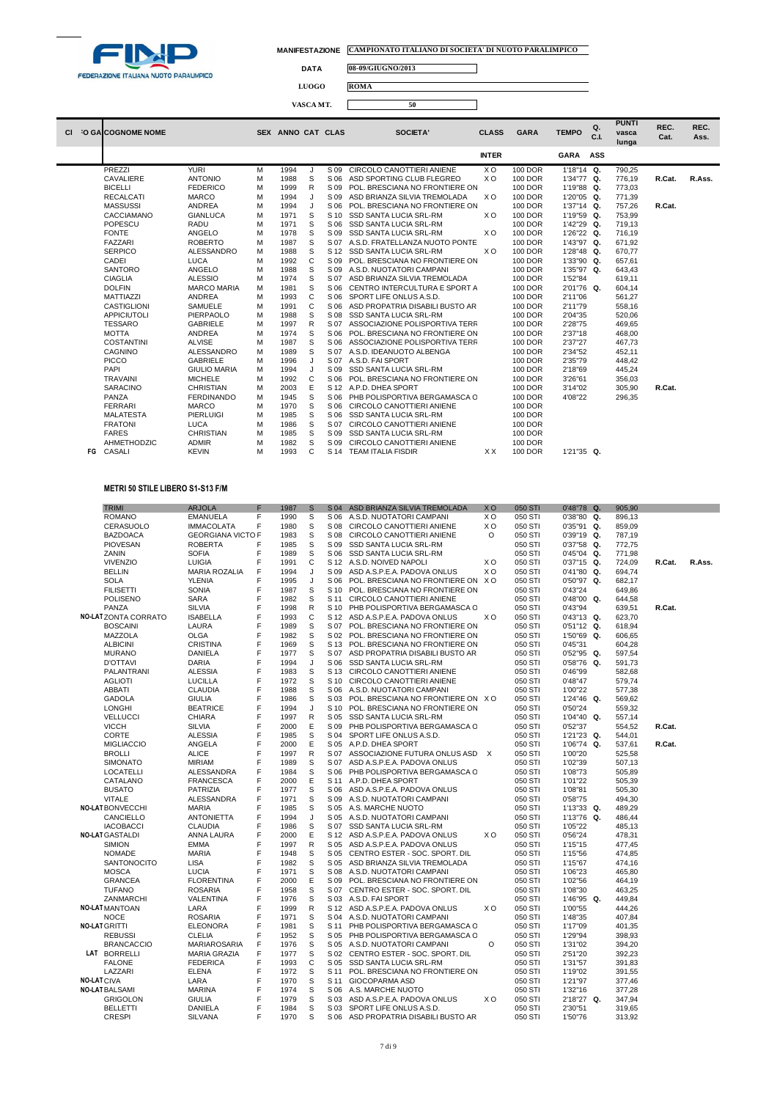

٦

**DATA 08-09/GIUGNO/2013**

**LUOGO ROMA**

|    |                          |                     |   |                   | VASCA MT. |      | 50                                  |                |                |              |            |                                |              |              |
|----|--------------------------|---------------------|---|-------------------|-----------|------|-------------------------------------|----------------|----------------|--------------|------------|--------------------------------|--------------|--------------|
| СI | <b>O GALCOGNOME NOME</b> |                     |   | SEX ANNO CAT CLAS |           |      | <b>SOCIETA'</b>                     | <b>CLASS</b>   | <b>GARA</b>    | <b>TEMPO</b> | Q.<br>C.I. | <b>PUNTI</b><br>vasca<br>lunga | REC.<br>Cat. | REC.<br>Ass. |
|    |                          |                     |   |                   |           |      |                                     | <b>INTER</b>   |                | <b>GARA</b>  | ASS        |                                |              |              |
|    | PREZZI                   | <b>YURI</b>         | м | 1994              | J         | S 09 | CIRCOLO CANOTTIERI ANIENE           | X <sub>O</sub> | 100 DOR        | 1'18"14 Q.   |            | 790,25                         |              |              |
|    | CAVALIERE                | <b>ANTONIO</b>      | м | 1988              | S         | S 06 | ASD SPORTING CLUB FLEGREO           | X <sub>O</sub> | 100 DOR        | 1'34"77 Q.   |            | 776,19                         | R.Cat.       | R.Ass.       |
|    | <b>BICELLI</b>           | <b>FEDERICO</b>     | M | 1999              | R         | S 09 | POL. BRESCIANA NO FRONTIERE ON      |                | 100 DOR        | 1'19"88 Q.   |            | 773.03                         |              |              |
|    | <b>RECALCATI</b>         | <b>MARCO</b>        | M | 1994              | $\cdot$   | S 09 | ASD BRIANZA SILVIA TREMOLADA        | X <sub>O</sub> | 100 DOR        | 1'20"05 Q.   |            | 771.39                         |              |              |
|    | <b>MASSUSSI</b>          | <b>ANDREA</b>       | м | 1994              | J         | S 06 | POL. BRESCIANA NO FRONTIERE ON      |                | 100 DOR        | 1'37"14 Q.   |            | 757,26                         | R.Cat.       |              |
|    | CACCIAMANO               | <b>GIANLUCA</b>     | м | 1971              | S         | S 10 | <b>SSD SANTA LUCIA SRL-RM</b>       | X <sub>O</sub> | 100 DOR        | 1'19"59 Q.   |            | 753.99                         |              |              |
|    | <b>POPESCU</b>           | RADU                | м | 1971              | S         | S 06 | <b>SSD SANTA LUCIA SRL-RM</b>       |                | 100 DOR        | 1'42"29 Q.   |            | 719,13                         |              |              |
|    | <b>FONTE</b>             | ANGELO              | м | 1978              | S         | S 09 | <b>SSD SANTA LUCIA SRL-RM</b>       | X <sub>O</sub> | 100 DOR        | 1'26"22 Q.   |            | 716,19                         |              |              |
|    | <b>FAZZARI</b>           | <b>ROBERTO</b>      | M | 1987              | S         |      | S 07 A.S.D. FRATELLANZA NUOTO PONTE |                | 100 DOR        | 1'43"97 Q.   |            | 671.92                         |              |              |
|    | <b>SERPICO</b>           | ALESSANDRO          | м | 1988              | S         |      | S 12 SSD SANTA LUCIA SRL-RM         | X <sub>O</sub> | 100 DOR        | 1'28"48 Q.   |            | 670.77                         |              |              |
|    | CADEI                    | <b>LUCA</b>         | м | 1992              | C         | S 09 | POL. BRESCIANA NO FRONTIERE ON      |                | 100 DOR        | 1'33"90 Q.   |            | 657,61                         |              |              |
|    | <b>SANTORO</b>           | ANGELO              | м | 1988              | S         |      | S 09 A.S.D. NUOTATORI CAMPANI       |                | 100 DOR        | 1'35"97 Q.   |            | 643,43                         |              |              |
|    | <b>CIAGLIA</b>           | <b>ALESSIO</b>      | м | 1974              | S         | S 07 | ASD BRIANZA SILVIA TREMOLADA        |                | 100 DOR        | 1'52"84      |            | 619,11                         |              |              |
|    | <b>DOLFIN</b>            | <b>MARCO MARIA</b>  | м | 1981              | S         |      | S 06 CENTRO INTERCULTURA E SPORT A  |                | 100 DOR        | 2'01"76 Q.   |            | 604,14                         |              |              |
|    | <b>MATTIAZZI</b>         | <b>ANDREA</b>       | M | 1993              | C         | S 06 | SPORT LIFE ONLUS A.S.D.             |                | 100 DOR        | 2'11"06      |            | 561,27                         |              |              |
|    | <b>CASTIGLIONI</b>       | <b>SAMUELE</b>      | M | 1991              | C         | S 06 | ASD PROPATRIA DISABILI BUSTO AR     |                | 100 DOR        | 2'11"79      |            | 558,16                         |              |              |
|    | <b>APPICIUTOLI</b>       | PIERPAOLO           | м | 1988              | S         | S 08 | <b>SSD SANTA LUCIA SRL-RM</b>       |                | 100 DOR        | 2'04"35      |            | 520,06                         |              |              |
|    | <b>TESSARO</b>           | <b>GABRIELE</b>     | M | 1997              | R         | S 07 | ASSOCIAZIONE POLISPORTIVA TERR      |                | 100 DOR        | 2'28"75      |            | 469,65                         |              |              |
|    | <b>MOTTA</b>             | <b>ANDREA</b>       | M | 1974              | S         | S 06 | POL. BRESCIANA NO FRONTIERE ON      |                | 100 DOR        | 2'37"18      |            | 468,00                         |              |              |
|    | COSTANTINI               | <b>ALVISE</b>       | М | 1987              | S         | S 06 | ASSOCIAZIONE POLISPORTIVA TERR      |                | 100 DOR        | 2'37"27      |            | 467,73                         |              |              |
|    | <b>CAGNINO</b>           | ALESSANDRO          | M | 1989              | S         | S 07 | A.S.D. IDEANUOTO ALBENGA            |                | 100 DOR        | 2'34"52      |            | 452,11                         |              |              |
|    | <b>PICCO</b>             | <b>GABRIELE</b>     | M | 1996              | J         | S 07 | A.S.D. FAI SPORT                    |                | 100 DOR        | 2'35"79      |            | 448,42                         |              |              |
|    | PAPI                     | <b>GIULIO MARIA</b> | M | 1994              | J         | S 09 | SSD SANTA LUCIA SRL-RM              |                | 100 DOR        | 2'18"69      |            | 445,24                         |              |              |
|    | <b>TRAVAINI</b>          | <b>MICHELE</b>      | M | 1992              | C         |      | S 06 POL, BRESCIANA NO FRONTIERE ON |                | 100 DOR        | 3'26"61      |            | 356,03                         |              |              |
|    | <b>SARACINO</b>          | <b>CHRISTIAN</b>    | M | 2003              | E         |      | S 12 A.P.D. DHEA SPORT              |                | 100 DOR        | 3'14"02      |            | 305,90                         | R.Cat.       |              |
|    | PANZA                    | <b>FERDINANDO</b>   | M | 1945              | S         |      | S 06 PHB POLISPORTIVA BERGAMASCA C  |                | 100 DOR        | 4'08"22      |            | 296.35                         |              |              |
|    | <b>FERRARI</b>           | <b>MARCO</b>        | M | 1970              | S         |      | S 06 CIRCOLO CANOTTIERI ANIENE      |                | 100 DOR        |              |            |                                |              |              |
|    | <b>MALATESTA</b>         | <b>PIERLUIGI</b>    | М | 1985              | S         |      | S 06 SSD SANTA LUCIA SRL-RM         |                | 100 DOR        |              |            |                                |              |              |
|    | <b>FRATONI</b>           | <b>LUCA</b>         | M | 1986              | S         | S 07 | CIRCOLO CANOTTIERI ANIENE           |                | <b>100 DOR</b> |              |            |                                |              |              |
|    | <b>FARES</b>             | <b>CHRISTIAN</b>    | M | 1985              | S         |      | S 09 SSD SANTA LUCIA SRL-RM         |                | <b>100 DOR</b> |              |            |                                |              |              |

- AHMETHODZIC ADMIR M 1982 S S 09 CIRCOLO CANOTTIERI ANIENE 100 DOR **FG** CASALI KEVIN M 1993 C S 14 TEAM ITALIA FISDIR X X 100 DOR 1'21"35 **Q.**
- 

### **METRI 50 STILE LIBERO S1-S13 F/M**

|                   | <b>TRIMI</b>                 | <b>ARJOLA</b>                         | F      | 1987         | S            |      | S 04 ASD BRIANZA SILVIA TREMOLADA                        | X <sub>O</sub> | 050 STI            | 0'48"78 Q.                    | 905,90           |        |        |
|-------------------|------------------------------|---------------------------------------|--------|--------------|--------------|------|----------------------------------------------------------|----------------|--------------------|-------------------------------|------------------|--------|--------|
|                   | <b>ROMANO</b>                | <b>EMANUELA</b>                       | F      | 1990         | S            | S 06 | A.S.D. NUOTATORI CAMPANI                                 | X <sub>O</sub> | 050 STI            | 0'38"80 Q.                    | 896,13           |        |        |
|                   | CERASUOLO                    | <b>IMMACOLATA</b>                     | F      | 1980         | s            | S 08 | CIRCOLO CANOTTIERI ANIENE                                | X O            | 050 STI            | 0'35"91 Q.                    | 859,09           |        |        |
|                   | <b>BAZDOACA</b>              | <b>GEORGIANA VICTO F</b>              |        | 1983         | S            |      | S 08 CIRCOLO CANOTTIERI ANIENE                           | $\circ$        | 050 STI            | 0'39"19 Q.                    | 787,19           |        |        |
|                   | <b>PIOVESAN</b>              | <b>ROBERTA</b>                        | F      | 1985         | S            | S 09 | SSD SANTA LUCIA SRL-RM                                   |                | 050 STI            | 0'37"58 Q.                    | 772,75           |        |        |
|                   | ZANIN                        | <b>SOFIA</b>                          | F      | 1989         | S            |      |                                                          |                |                    |                               |                  |        |        |
|                   | <b>VIVENZIO</b>              | LUIGIA                                | F      | 1991         | $\mathsf{C}$ |      | S 06 SSD SANTA LUCIA SRL-RM<br>S 12 A.S.D. NOIVED NAPOLI | X O            | 050 STI<br>050 STI | $0'45''04$ Q.<br>$0'37"15$ Q. | 771,98<br>724,09 | R.Cat. | R.Ass. |
|                   |                              |                                       |        |              |              | S 09 |                                                          | X <sub>O</sub> |                    |                               |                  |        |        |
|                   | <b>BELLIN</b><br><b>SOLA</b> | <b>MARIA ROZALIA</b><br><b>YLENIA</b> | F<br>F | 1994<br>1995 | J<br>J       | S 06 | ASD A.S.P.E.A. PADOVA ONLUS                              |                | 050 STI            | 0'41"80 Q.                    | 694,74           |        |        |
|                   |                              |                                       | F      |              | S            |      | POL. BRESCIANA NO FRONTIERE ON XO                        |                | 050 STI            | 0'50"97 Q.                    | 682,17           |        |        |
|                   | <b>FILISETTI</b>             | <b>SONIA</b>                          |        | 1987         |              | S 10 | POL. BRESCIANA NO FRONTIERE ON                           |                | 050 STI            | 0'43"24                       | 649,86           |        |        |
|                   | <b>POLISENO</b>              | <b>SARA</b>                           | F      | 1982         | S            | S 11 | CIRCOLO CANOTTIERI ANIENE                                |                | 050 STI            | $0'48''00$ Q.                 | 644,58           |        |        |
|                   | PANZA                        | <b>SILVIA</b>                         | F      | 1998         | R            |      | S 10 PHB POLISPORTIVA BERGAMASCA C                       |                | 050 STI            | 0'43"94                       | 639,51           | R.Cat. |        |
|                   | <b>NO-LAT ZONTA CORRATO</b>  | <b>ISABELLA</b>                       | F      | 1993         | C            |      | S 12 ASD A.S.P.E.A. PADOVA ONLUS                         | ХO             | 050 STI            | $0'43''13$ Q.                 | 623,70           |        |        |
|                   | <b>BOSCAINI</b>              | LAURA                                 | F      | 1989         | S            |      | S 07 POL. BRESCIANA NO FRONTIERE ON                      |                | 050 STI            | $0'51''12$ Q.                 | 618,94           |        |        |
|                   | MAZZOLA                      | <b>OLGA</b>                           | F      | 1982         | S            |      | S 02 POL. BRESCIANA NO FRONTIERE ON                      |                | 050 STI            | 1'50"69 Q.                    | 606,65           |        |        |
|                   | <b>ALBICINI</b>              | <b>CRISTINA</b>                       | F      | 1969         | S            |      | S 13 POL. BRESCIANA NO FRONTIERE ON                      |                | 050 STI            | 0'45"31                       | 604,28           |        |        |
|                   | <b>MURANO</b>                | DANIELA                               | F      | 1977         | S            | S 07 | ASD PROPATRIA DISABILI BUSTO AR                          |                | 050 STI            | 0'52"95 Q.                    | 597,54           |        |        |
|                   | <b>D'OTTAVI</b>              | DARIA                                 | F      | 1994         | J            | S 06 | SSD SANTA LUCIA SRL-RM                                   |                | 050 STI            | 0'58"76 Q.                    | 591,73           |        |        |
|                   | PALANTRANI                   | <b>ALESSIA</b>                        | F      | 1983         | S            |      | S 13 CIRCOLO CANOTTIERI ANIENE                           |                | 050 STI            | 0'46"99                       | 582,68           |        |        |
|                   | <b>AGLIOTI</b>               | <b>LUCILLA</b>                        | F      | 1972         | S            | S 10 | CIRCOLO CANOTTIERI ANIENE                                |                | 050 STI            | 0'48"47                       | 579,74           |        |        |
|                   | <b>ABBATI</b>                | <b>CLAUDIA</b>                        | F      | 1988         | S            | S 06 | A.S.D. NUOTATORI CAMPANI                                 |                | 050 STI            | 1'00"22                       | 577,38           |        |        |
|                   | <b>GADOLA</b>                | <b>GIULIA</b>                         | F      | 1986         | S            | S 03 | POL. BRESCIANA NO FRONTIERE ON XO                        |                | 050 STI            | 1'24"46 Q.                    | 569,62           |        |        |
|                   | <b>LONGHI</b>                | <b>BEATRICE</b>                       | F      | 1994         | J            | S 10 | POL. BRESCIANA NO FRONTIERE ON                           |                | 050 STI            | 0'50"24                       | 559,32           |        |        |
|                   | <b>VELLUCCI</b>              | CHIARA                                | F      | 1997         | $\mathsf{R}$ |      | S 05 SSD SANTA LUCIA SRL-RM                              |                | 050 STI            | 1'04"40 Q.                    | 557,14           |        |        |
|                   | <b>VICCH</b>                 | <b>SILVIA</b>                         | F      | 2000         | Ε            | S 09 | PHB POLISPORTIVA BERGAMASCA C                            |                | 050 STI            | 0'52"37                       | 554,52           | R.Cat. |        |
|                   | CORTE                        | <b>ALESSIA</b>                        | F      | 1985         | S            |      | S 04 SPORT LIFE ONLUS A.S.D.                             |                | 050 STI            | 1'21"23 Q.                    | 544,01           |        |        |
|                   | <b>MIGLIACCIO</b>            | ANGELA                                | F      | 2000         | Ε            |      | S 05 A.P.D. DHEA SPORT                                   |                | 050 STI            | 1'06"74 Q.                    | 537,61           | R.Cat. |        |
|                   | <b>BROLLI</b>                | <b>ALICE</b>                          | F      | 1997         | R            |      | S 07 ASSOCIAZIONE FUTURA ONLUS ASD X                     |                | 050 STI            | 1'00"20                       | 525,58           |        |        |
|                   | <b>SIMONATO</b>              | <b>MIRIAM</b>                         | F      | 1989         | S            |      | S 07 ASD A.S.P.E.A. PADOVA ONLUS                         |                | 050 STI            | 1'02"39                       | 507,13           |        |        |
|                   | <b>LOCATELLI</b>             | ALESSANDRA                            | F      | 1984         | S            | S 06 | PHB POLISPORTIVA BERGAMASCA C                            |                | 050 STI            | 1'08"73                       | 505,89           |        |        |
|                   | CATALANO                     | <b>FRANCESCA</b>                      | F      | 2000         | E            | S 11 | A.P.D. DHEA SPORT                                        |                | 050 STI            | 1'01"22                       | 505,39           |        |        |
|                   | <b>BUSATO</b>                | PATRIZIA                              | F      | 1977         | S            |      | S 06 ASD A.S.P.E.A. PADOVA ONLUS                         |                | 050 STI            | 1'08"81                       | 505,30           |        |        |
|                   | <b>VITALE</b>                | ALESSANDRA                            | F      | 1971         | S            | S 09 | A.S.D. NUOTATORI CAMPANI                                 |                | 050 STI            | 0'58"75                       | 494,30           |        |        |
|                   | <b>NO-LAT BONVECCHI</b>      | <b>MARIA</b>                          | F      | 1985         | S            |      | S 05 A.S. MARCHE NUOTO                                   |                | 050 STI            | 1'13"33 Q.                    | 489,29           |        |        |
|                   | CANCIELLO                    | <b>ANTONIETTA</b>                     | F      | 1994         | J            |      | S 05 A.S.D. NUOTATORI CAMPANI                            |                | 050 STI            | 1'13"76 Q.                    | 486,44           |        |        |
|                   | <b>IACOBACCI</b>             | <b>CLAUDIA</b>                        | F      | 1986         | S            |      | S 07 SSD SANTA LUCIA SRL-RM                              |                | 050 STI            | 1'05"22                       | 485,13           |        |        |
|                   | <b>NO-LAT GASTALDI</b>       | ANNA LAURA                            | F      | 2000         | E            | S 12 | ASD A.S.P.E.A. PADOVA ONLUS                              | X O            | 050 STI            | 0'56"24                       | 478,31           |        |        |
|                   | <b>SIMION</b>                | <b>EMMA</b>                           | F      | 1997         | R            |      | S 05 ASD A.S.P.E.A. PADOVA ONLUS                         |                | 050 STI            | 1'15"15                       | 477,45           |        |        |
|                   | <b>NOMADE</b>                | <b>MARIA</b>                          | F      | 1948         | S            |      | S 05 CENTRO ESTER - SOC. SPORT. DIL                      |                | 050 STI            | 1'15"56                       | 474,85           |        |        |
|                   | <b>SANTONOCITO</b>           | <b>LISA</b>                           | F      | 1982         | S            | S 05 | ASD BRIANZA SILVIA TREMOLADA                             |                | 050 STI            | 1'15"67                       | 474,16           |        |        |
|                   | <b>MOSCA</b>                 | LUCIA                                 | F      | 1971         | S            |      | S 08 A.S.D. NUOTATORI CAMPANI                            |                | 050 STI            | 1'06"23                       | 465,80           |        |        |
|                   | <b>GRANCEA</b>               | <b>FLORENTINA</b>                     | F      | 2000         | Ε            |      | S 09 POL. BRESCIANA NO FRONTIERE ON                      |                | 050 STI            | 1'02"56                       | 464,19           |        |        |
|                   | <b>TUFANO</b>                | <b>ROSARIA</b>                        | F      | 1958         | S            |      | S 07 CENTRO ESTER - SOC. SPORT. DIL                      |                | 050 STI            | 1'08"30                       | 463,25           |        |        |
|                   | ZANMARCHI                    | VALENTINA                             | F      | 1976         | S            |      | S 03 A.S.D. FAI SPORT                                    |                | 050 STI            | 1'46"95 Q.                    | 449,84           |        |        |
|                   | <b>NO-LAT MANTOAN</b>        | LARA                                  | F      | 1999         | R            |      | S 12 ASD A.S.P.E.A. PADOVA ONLUS                         | X O            | 050 STI            | 1'00"55                       | 444,26           |        |        |
|                   | <b>NOCE</b>                  | <b>ROSARIA</b>                        | F      | 1971         | S            |      | S 04 A.S.D. NUOTATORI CAMPANI                            |                | 050 STI            | 1'48"35                       | 407,84           |        |        |
|                   | <b>NO-LAT GRITTI</b>         | <b>ELEONORA</b>                       | F      | 1981         | S            | S 11 | PHB POLISPORTIVA BERGAMASCA C                            |                | 050 STI            | 1'17"09                       | 401,35           |        |        |
|                   | <b>REBUSSI</b>               | <b>CLELIA</b>                         | F      | 1952         | S            |      | S 05 PHB POLISPORTIVA BERGAMASCA C                       |                | 050 STI            | 1'29"94                       | 398,93           |        |        |
|                   | <b>BRANCACCIO</b>            | MARIAROSARIA                          | F      | 1976         | S            |      | S 05 A.S.D. NUOTATORI CAMPANI                            | $\circ$        | 050 STI            | 1'31"02                       | 394,20           |        |        |
|                   | LAT BORRELLI                 | <b>MARIA GRAZIA</b>                   | F      | 1977         | S            |      | S 02 CENTRO ESTER - SOC. SPORT. DIL                      |                | 050 STI            | 2'51"20                       | 392,23           |        |        |
|                   | <b>FALONE</b>                | <b>FEDERICA</b>                       | F      | 1993         | C            | S 05 | SSD SANTA LUCIA SRL-RM                                   |                | 050 STI            | 1'31"57                       | 391,83           |        |        |
|                   | LAZZARI                      | <b>ELENA</b>                          | F      | 1972         | S            |      | S 11 POL. BRESCIANA NO FRONTIERE ON                      |                | 050 STI            | 1'19"02                       | 391,55           |        |        |
| <b>NO-LATCIVA</b> |                              | LARA                                  | F      | 1970         | S            |      | S 11 GIOCOPARMA ASD                                      |                | 050 STI            | 1'21"97                       | 377,46           |        |        |
|                   | <b>NO-LAT BALSAMI</b>        | <b>MARINA</b>                         | F      | 1974         | S            |      | S 06 A.S. MARCHE NUOTO                                   |                | 050 STI            | 1'32"16                       | 377,28           |        |        |
|                   | <b>GRIGOLON</b>              | <b>GIULIA</b>                         | F      | 1979         | S            | S 03 | ASD A.S.P.E.A. PADOVA ONLUS                              | XO             | 050 STI            | 2'18"27 Q.                    | 347,94           |        |        |
|                   | <b>BELLETTI</b>              | DANIELA                               | F      | 1984         | S            |      | S 03 SPORT LIFE ONLUS A.S.D.                             |                | 050 STI            | 2'30"51                       | 319,65           |        |        |
|                   | <b>CRESPI</b>                | <b>SILVANA</b>                        | F      | 1970         | S            | S 06 | ASD PROPATRIA DISABILI BUSTO AR                          |                | 050 STI            | 1'50"76                       | 313,92           |        |        |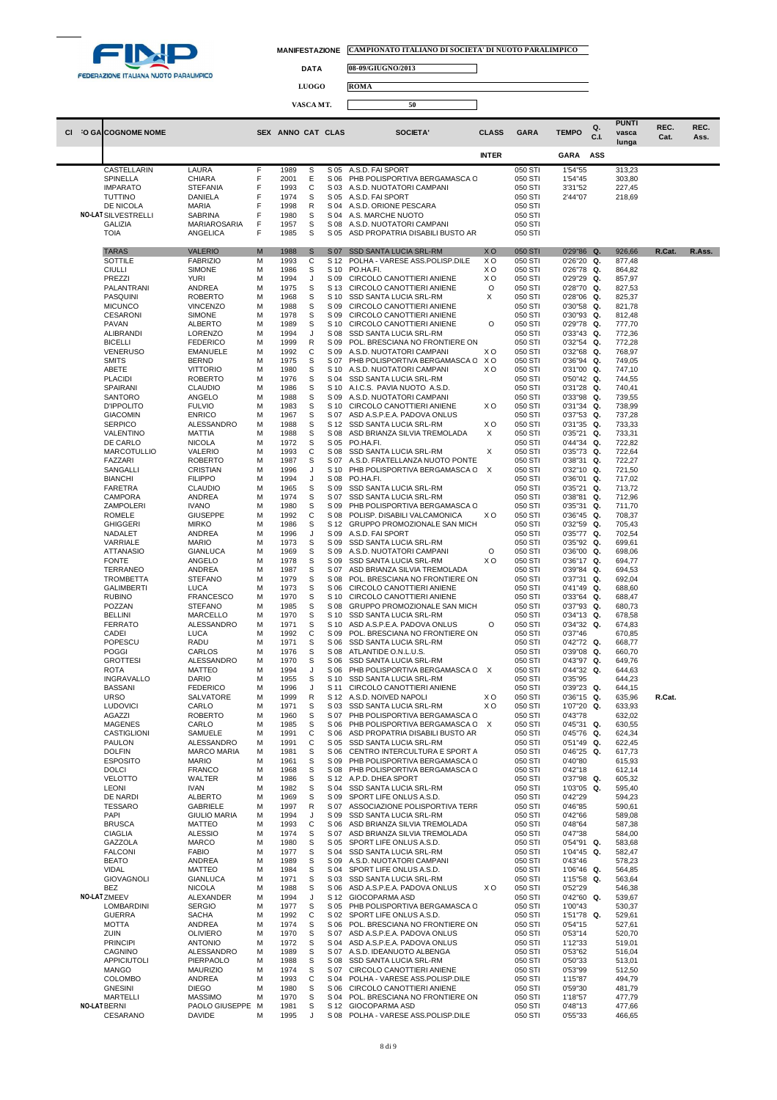

 $\Box$ 

 $\Box$ 

**DATA 08-09/GIUGNO/2013**

**LUOGO ROMA**

**VASCA MT. 50**

|         |                                      |                                    |        |                   |        |              |                                                                  |                           |                    |                                | Q.   | <b>PUNTI</b>     | REC.   | REC.   |
|---------|--------------------------------------|------------------------------------|--------|-------------------|--------|--------------|------------------------------------------------------------------|---------------------------|--------------------|--------------------------------|------|------------------|--------|--------|
| CI O GA | <b>COGNOME NOME</b>                  |                                    |        | SEX ANNO CAT CLAS |        |              | SOCIETA'                                                         | <b>CLASS</b>              | GARA               | <b>TEMPO</b>                   | C.I. | vasca<br>lunga   | Cat.   | Ass.   |
|         |                                      |                                    |        |                   |        |              |                                                                  | <b>INTER</b>              |                    | GARA                           | ASS  |                  |        |        |
|         | CASTELLARIN                          | LAURA                              | F      | 1989              | s      | S 05         | A.S.D. FAI SPORT                                                 |                           | 050 STI            | 1'54"55                        |      | 313,23           |        |        |
|         | SPINELLA                             | <b>CHIARA</b>                      | F      | 2001              | Ε      | S 06         | PHB POLISPORTIVA BERGAMASCA C                                    |                           | 050 STI            | 1'54"45                        |      | 303,80           |        |        |
|         | <b>IMPARATO</b><br><b>TUTTINO</b>    | <b>STEFANIA</b><br>DANIELA         | F<br>F | 1993<br>1974      | C<br>S | S 03<br>S 05 | A.S.D. NUOTATORI CAMPANI<br>A.S.D. FAI SPORT                     |                           | 050 STI<br>050 STI | 3'31"52<br>2'44"07             |      | 227,45<br>218,69 |        |        |
|         | DE NICOLA                            | <b>MARIA</b>                       | F      | 1998              | R      | S 04         | A.S.D. ORIONE PESCARA                                            |                           | 050 STI            |                                |      |                  |        |        |
|         | <b>NO-LAT SILVESTRELLI</b>           | SABRINA                            | F      | 1980              | s      | S 04         | A.S. MARCHE NUOTO                                                |                           | 050 STI            |                                |      |                  |        |        |
|         | <b>GALIZIA</b><br><b>TOIA</b>        | MARIAROSARIA<br>ANGELICA           | F<br>F | 1957<br>1985      | S<br>s | S 08<br>S 05 | A.S.D. NUOTATORI CAMPANI<br>ASD PROPATRIA DISABILI BUSTO AR      |                           | 050 STI<br>050 STI |                                |      |                  |        |        |
|         |                                      |                                    |        |                   |        |              |                                                                  |                           |                    |                                |      |                  |        |        |
|         | <b>TARAS</b><br>SOTTILE              | <b>VALERIO</b><br><b>FABRIZIO</b>  | M<br>м | 1988<br>1993      | S<br>C | S 07<br>S 12 | <b>SSD SANTA LUCIA SRL-RM</b><br>POLHA - VARESE ASS.POLISP.DILE  | <b>XO</b><br>XO           | 050 STI<br>050 STI | 0'29"86 Q.<br>$0'26''20$ Q.    |      | 926,66<br>877,48 | R.Cat. | R.Ass. |
|         | <b>CIULLI</b>                        | <b>SIMONE</b>                      | M      | 1986              | S      | S 10         | PO.HA.FI.                                                        | xо                        | 050 STI            | 0'26"78 Q.                     |      | 864,82           |        |        |
|         | PREZZI<br>PALANTRANI                 | <b>YURI</b><br>ANDREA              | M<br>M | 1994<br>1975      | J<br>S | S 09<br>S 13 | CIRCOLO CANOTTIERI ANIENE<br>CIRCOLO CANOTTIERI ANIENE           | X <sub>O</sub><br>O       | 050 STI<br>050 STI | 0'29"29 Q.<br>0'28"70 Q.       |      | 857,97<br>827,53 |        |        |
|         | PASQUINI                             | <b>ROBERTO</b>                     | M      | 1968              | s      | S 10         | <b>SSD SANTA LUCIA SRL-RM</b>                                    | X                         | 050 STI            | $0'28''06$ Q.                  |      | 825,37           |        |        |
|         | <b>MICUNCO</b><br><b>CESARONI</b>    | <b>VINCENZO</b><br><b>SIMONE</b>   | M<br>M | 1988<br>1978      | S<br>S | S 09<br>S 09 | CIRCOLO CANOTTIERI ANIENE<br>CIRCOLO CANOTTIERI ANIENE           |                           | 050 STI<br>050 STI | 0'30"58 Q.<br>$0'30''93$ Q.    |      | 821,78<br>812,48 |        |        |
|         | <b>PAVAN</b>                         | ALBERTO                            | M      | 1989              | s      | S 10         | CIRCOLO CANOTTIERI ANIENE                                        | O                         | 050 STI            | 0'29"78 Q.                     |      | 777,70           |        |        |
|         | <b>ALIBRANDI</b>                     | LORENZO                            | M      | 1994              | J      | S 08         | SSD SANTA LUCIA SRL-RM                                           |                           | 050 STI            | $0'33''43$ Q.                  |      | 772,36           |        |        |
|         | <b>BICELLI</b><br><b>VENERUSO</b>    | <b>FEDERICO</b><br><b>EMANUELE</b> | M<br>M | 1999<br>1992      | R<br>C | S 09<br>S 09 | POL. BRESCIANA NO FRONTIERE ON<br>A.S.D. NUOTATORI CAMPANI       | X <sub>O</sub>            | 050 STI<br>050 STI | $0'32''54$ Q.<br>$0'32''68$ Q. |      | 772,28<br>768,97 |        |        |
|         | <b>SMITS</b>                         | <b>BERND</b>                       | М      | 1975              | s      | S 07         | PHB POLISPORTIVA BERGAMASCA C                                    | xo                        | 050 STI            | $0'36''94$ Q.                  |      | 749,05           |        |        |
|         | ABETE<br><b>PLACIDI</b>              | <b>VITTORIO</b><br><b>ROBERTO</b>  | M<br>M | 1980<br>1976      | S<br>S | S 10<br>S 04 | A.S.D. NUOTATORI CAMPANI<br>SSD SANTA LUCIA SRL-RM               | xо                        | 050 STI<br>050 STI | 0'31"00 Q.<br>0'50"42 Q.       |      | 747,10<br>744,55 |        |        |
|         | <b>SPAIRANI</b>                      | <b>CLAUDIO</b>                     | M      | 1986              | s      | S 10         | A.I.C.S. PAVIA NUOTO A.S.D.                                      |                           | 050 STI            | $0'31''28$ Q.                  |      | 740,41           |        |        |
|         | <b>SANTORO</b>                       | ANGELO                             | М      | 1988              | S      | S 09         | A.S.D. NUOTATORI CAMPANI                                         |                           | 050 STI            | $0'33''98$ Q.                  |      | 739,55           |        |        |
|         | <b>D'IPPOLITO</b><br><b>GIACOMIN</b> | <b>FULVIO</b><br><b>ENRICO</b>     | M<br>M | 1983<br>1967      | s<br>s | S 10<br>S 07 | CIRCOLO CANOTTIERI ANIENE<br>ASD A.S.P.E.A. PADOVA ONLUS         | xо                        | 050 STI<br>050 STI | $0'31''34$ Q.<br>0'37"53 Q.    |      | 738,99<br>737,28 |        |        |
|         | <b>SERPICO</b>                       | ALESSANDRO                         | М      | 1988              | S      | S 12         | SSD SANTA LUCIA SRL-RM                                           | xо                        | 050 STI            | $0'31''35$ Q.                  |      | 733,33           |        |        |
|         | VALENTINO<br>DE CARLO                | MATTIA<br><b>NICOLA</b>            | M<br>M | 1988<br>1972      | S<br>S | S 08<br>S 05 | ASD BRIANZA SILVIA TREMOLADA<br>PO.HA.FI.                        | X                         | 050 STI<br>050 STI | 0'35"21 Q.<br>$0'44''34$ Q.    |      | 733,31<br>722,82 |        |        |
|         | <b>MARCOTULLIO</b>                   | VALERIO                            | M      | 1993              | C      | S 08         | SSD SANTA LUCIA SRL-RM                                           | х                         | 050 STI            | 0'35"73 Q.                     |      | 722,64           |        |        |
|         | <b>FAZZARI</b><br>SANGALLI           | <b>ROBERTO</b><br>CRISTIAN         | M<br>M | 1987<br>1996      | S<br>J | S 07<br>S 10 | A.S.D. FRATELLANZA NUOTO PONTE<br>PHB POLISPORTIVA BERGAMASCA C  | $\boldsymbol{\mathsf{X}}$ | 050 STI<br>050 STI | $0'38''31$ Q.<br>$0'32"10$ Q.  |      | 722,27<br>721,50 |        |        |
|         | <b>BIANCHI</b>                       | <b>FILIPPO</b>                     | M      | 1994              | J      | S 08         | PO.HA.FI.                                                        |                           | 050 STI            | 0'36"01                        | Q.   | 717,02           |        |        |
|         | <b>FARETRA</b>                       | <b>CLAUDIO</b>                     | M      | 1965              | S      | S 09         | SSD SANTA LUCIA SRL-RM                                           |                           | 050 STI            | $0'35''21$ Q.                  |      | 713,72           |        |        |
|         | CAMPORA<br>ZAMPOLERI                 | ANDREA<br><b>IVANO</b>             | M<br>M | 1974<br>1980      | S<br>S | S 07<br>S 09 | SSD SANTA LUCIA SRL-RM<br>PHB POLISPORTIVA BERGAMASCA C          |                           | 050 STI<br>050 STI | 0'38"81 Q.<br>0'35"31 Q.       |      | 712,96<br>711,70 |        |        |
|         | <b>ROMELE</b>                        | <b>GIUSEPPE</b>                    | M      | 1992              | C      | S 08         | POLISP. DISABILI VALCAMONICA                                     | xо                        | 050 STI            | $0'36''45$ Q.                  |      | 708,37           |        |        |
|         | <b>GHIGGERI</b><br>NADALET           | <b>MIRKO</b><br>ANDREA             | M<br>M | 1986<br>1996      | S<br>J | S 12<br>S 09 | GRUPPO PROMOZIONALE SAN MICH<br>A.S.D. FAI SPORT                 |                           | 050 STI<br>050 STI | $0'32"59$ Q.<br>0'35"77 Q.     |      | 705,43<br>702,54 |        |        |
|         | VARRIALE                             | <b>MARIO</b>                       | М      | 1973              | S      | S 09         | SSD SANTA LUCIA SRL-RM                                           |                           | 050 STI            | $0'35''92$ Q.                  |      | 699,61           |        |        |
|         | ATTANASIO<br><b>FONTE</b>            | GIANLUCA<br>ANGELO                 | М<br>М | 1969<br>1978      | s<br>s | S 09<br>S 09 | A.S.D. NUOTATORI CAMPANI<br>SSD SANTA LUCIA SRL-RM               | O<br>X <sub>O</sub>       | 050 STI<br>050 STI | $0'36''00$ Q.<br>0'36"17 Q.    |      | 698,06<br>694,77 |        |        |
|         | <b>TERRANEO</b>                      | ANDREA                             | M      | 1987              | S      | S 07         | ASD BRIANZA SILVIA TREMOLADA                                     |                           | 050 STI            | $0'39''84$ Q.                  |      | 694,53           |        |        |
|         | TROMBETTA                            | <b>STEFANO</b>                     | M      | 1979              | S      | S 08         | POL. BRESCIANA NO FRONTIERE ON                                   |                           | 050 STI            | $0'37''31$ Q.                  |      | 692,04           |        |        |
|         | <b>GALIMBERTI</b><br><b>RUBINO</b>   | LUCA<br><b>FRANCESCO</b>           | М<br>М | 1973<br>1970      | S<br>S | S 06<br>S 10 | CIRCOLO CANOTTIERI ANIENE<br>CIRCOLO CANOTTIERI ANIENE           |                           | 050 STI<br>050 STI | $0'41''49$ Q.<br>$0'33''64$ Q. |      | 688,60<br>688,47 |        |        |
|         | POZZAN                               | <b>STEFANO</b>                     | M      | 1985              | S      | S 08         | GRUPPO PROMOZIONALE SAN MICH                                     |                           | 050 STI            | $0'37''93$ Q.                  |      | 680,73           |        |        |
|         | <b>BELLINI</b><br><b>FERRATO</b>     | MARCELLO<br>ALESSANDRO             | М<br>М | 1970<br>1971      | s<br>s | S 10<br>S 10 | SSD SANTA LUCIA SRL-RM<br>ASD A.S.P.E.A. PADOVA ONLUS            | O                         | 050 STI<br>050 STI | $0'34''13$ Q.<br>0'34"32 Q.    |      | 678,58<br>674,83 |        |        |
|         | CADEI                                | LUCA                               | M      | 1992              | C      | S 09         | POL. BRESCIANA NO FRONTIERE ON                                   |                           | 050 STI            | 0'37"46                        |      | 670,85           |        |        |
|         | POPESCU                              | RADU<br>CARLOS                     | М<br>М | 1971<br>1976      | s<br>S | S 06<br>S 08 | SSD SANTA LUCIA SRL-RM<br>ATLANTIDE O.N.L.U.S.                   |                           | 050 STI<br>050 STI | 0'42"72 Q.                     | Q.   | 668,77           |        |        |
|         | <b>POGGI</b><br><b>GROTTESI</b>      | ALESSANDRO                         | М      | 1970              | s      | S 06         | SSD SANTA LUCIA SRL-RM                                           |                           | 050 STI            | 0'39"08<br>0'43"97 Q.          |      | 660,70<br>649,76 |        |        |
|         | <b>ROTA</b>                          | <b>MATTEO</b>                      | M      | 1994              | IJ     | S 06         | PHB POLISPORTIVA BERGAMASCA C                                    | $\mathsf{X}$              | 050 STI            | $0'44''32$ Q.                  |      | 644,63           |        |        |
|         | INGRAVALLO<br><b>BASSANI</b>         | <b>DARIO</b><br><b>FEDERICO</b>    | M<br>M | 1955<br>1996      | s<br>J | S 10<br>S 11 | <b>SSD SANTA LUCIA SRL-RM</b><br>CIRCOLO CANOTTIERI ANIENE       |                           | 050 STI<br>050 STI | 0'35"95<br>$0'39''23$ Q.       |      | 644,23<br>644,15 |        |        |
|         | <b>URSO</b>                          | <b>SALVATORE</b>                   | М      | 1999              | R      | S 12         | A.S.D. NOIVED NAPOLI                                             | X O                       | 050 STI            | $0'36''15$ Q.                  |      | 635.96           | R.Cat. |        |
|         | <b>LUDOVICI</b><br>AGAZZI            | CARLO<br><b>ROBERTO</b>            | M<br>M | 1971<br>1960      | S<br>s | S 03<br>S 07 | SSD SANTA LUCIA SRL-RM<br>PHB POLISPORTIVA BERGAMASCA C          | XO                        | 050 STI<br>050 STI | 1'07"20 Q.<br>0'43"78          |      | 633,93<br>632,02 |        |        |
|         | <b>MAGENES</b>                       | CARLO                              | M      | 1985              | s      | S 06         | PHB POLISPORTIVA BERGAMASCA C                                    | X                         | 050 STI            | 0'45"31 Q.                     |      | 630,55           |        |        |
|         | CASTIGLIONI<br>PAULON                | SAMUELE<br>ALESSANDRO              | М<br>М | 1991<br>1991      | С<br>C | S 06<br>S 05 | ASD PROPATRIA DISABILI BUSTO AR<br><b>SSD SANTA LUCIA SRL-RM</b> |                           | 050 STI<br>050 STI | 0'45"76 Q.<br>0'51"49 Q.       |      | 624,34<br>622,45 |        |        |
|         | <b>DOLFIN</b>                        | <b>MARCO MARIA</b>                 | M      | 1981              | S      | S 06         | CENTRO INTERCULTURA E SPORT A                                    |                           | 050 STI            | $0'46''25$ Q.                  |      | 617,73           |        |        |
|         | <b>ESPOSITO</b><br><b>DOLCI</b>      | <b>MARIO</b><br><b>FRANCO</b>      | M<br>M | 1961<br>1968      | S<br>S | S 09<br>S 08 | PHB POLISPORTIVA BERGAMASCA C<br>PHB POLISPORTIVA BERGAMASCA C   |                           | 050 STI<br>050 STI | 0'40"80<br>0'42"18             |      | 615,93<br>612,14 |        |        |
|         | <b>VELOTTO</b>                       | WALTER                             | M      | 1986              | s      | S 12         | A.P.D. DHEA SPORT                                                |                           | 050 STI            | 0'37"98 Q.                     |      | 605,32           |        |        |
|         | LEONI                                | <b>IVAN</b>                        | M      | 1982              | s<br>S | S 04         | SSD SANTA LUCIA SRL-RM                                           |                           | 050 STI            | 1'03"05 Q.                     |      | 595,40           |        |        |
|         | DE NARDI<br><b>TESSARO</b>           | <b>ALBERTO</b><br><b>GABRIELE</b>  | M<br>M | 1969<br>1997      | R      | S 09<br>S 07 | SPORT LIFE ONLUS A.S.D.<br>ASSOCIAZIONE POLISPORTIVA TERR        |                           | 050 STI<br>050 STI | 0'42"29<br>0'46"85             |      | 594,23<br>590,61 |        |        |
|         | PAPI                                 | <b>GIULIO MARIA</b>                | M      | 1994              | J      | S 09         | SSD SANTA LUCIA SRL-RM                                           |                           | 050 STI            | 0'42"66                        |      | 589,08           |        |        |
|         | <b>BRUSCA</b><br><b>CIAGLIA</b>      | <b>MATTEO</b><br><b>ALESSIO</b>    | M<br>M | 1993<br>1974      | C<br>S | S 06<br>S 07 | ASD BRIANZA SILVIA TREMOLADA<br>ASD BRIANZA SILVIA TREMOLADA     |                           | 050 STI<br>050 STI | 0'48"64<br>0'47"38             |      | 587,38<br>584,00 |        |        |
|         | GAZZOLA                              | <b>MARCO</b>                       | M      | 1980              | s      | S 05         | SPORT LIFE ONLUS A.S.D.                                          |                           | 050 STI            | 0'54"91 Q.                     |      | 583,68           |        |        |
|         | <b>FALCONI</b><br><b>BEATO</b>       | <b>FABIO</b><br>ANDREA             | M<br>M | 1977<br>1989      | S<br>S | S 04<br>S 09 | SSD SANTA LUCIA SRL-RM<br>A.S.D. NUOTATORI CAMPANI               |                           | 050 STI<br>050 STI | 1'04"45 Q.<br>0'43"46          |      | 582,47<br>578,23 |        |        |
|         | VIDAL                                | <b>MATTEO</b>                      | M      | 1984              | s      | S 04         | SPORT LIFE ONLUS A.S.D.                                          |                           | 050 STI            | 1'06"46 Q.                     |      | 564,85           |        |        |
|         | <b>GIOVAGNOLI</b>                    | GIANLUCA                           | M      | 1971              | S      | S 03         | SSD SANTA LUCIA SRL-RM                                           |                           | 050 STI            | 1'15"58                        | Q.   | 563,64           |        |        |
|         | BEZ<br>NO-LATZMEEV                   | <b>NICOLA</b><br>ALEXANDER         | M<br>M | 1988<br>1994      | s<br>J | S 06<br>S 12 | ASD A.S.P.E.A. PADOVA ONLUS<br>GIOCOPARMA ASD                    | X <sub>O</sub>            | 050 STI<br>050 STI | 0'52"29<br>$0'42''60$ Q.       |      | 546,38<br>539,67 |        |        |
|         | LOMBARDINI                           | <b>SERGIO</b>                      | M      | 1977              | s      | S 05         | PHB POLISPORTIVA BERGAMASCA C                                    |                           | 050 STI            | 1'00"43                        |      | 530,37           |        |        |
|         | <b>GUERRA</b><br><b>MOTTA</b>        | <b>SACHA</b><br>ANDREA             | M<br>M | 1992<br>1974      | C<br>S | S 02<br>S 06 | SPORT LIFE ONLUS A.S.D.<br>POL. BRESCIANA NO FRONTIERE ON        |                           | 050 STI<br>050 STI | 1'51"78 Q.<br>0'54"15          |      | 529,61<br>527,61 |        |        |
|         | ZUIN                                 | <b>OLIVIERO</b>                    | M      | 1970              | S      | S 07         | ASD A.S.P.E.A. PADOVA ONLUS                                      |                           | 050 STI            | 0'53"14                        |      | 520,70           |        |        |
|         | <b>PRINCIPI</b><br>CAGNINO           | <b>ANTONIO</b><br>ALESSANDRO       | M<br>M | 1972<br>1989      | s<br>S | S 04<br>S 07 | ASD A.S.P.E.A. PADOVA ONLUS<br>A.S.D. IDEANUOTO ALBENGA          |                           | 050 STI<br>050 STI | 1'12"33<br>0'53"62             |      | 519,01<br>516,04 |        |        |
|         | APPICIUTOLI                          | PIERPAOLO                          | M      | 1988              | S      | S 08         | SSD SANTA LUCIA SRL-RM                                           |                           | 050 STI            | 0'50"33                        |      | 513,01           |        |        |
|         | <b>MANGO</b>                         | <b>MAURIZIO</b>                    | М      | 1974              | S      | S 07         | CIRCOLO CANOTTIERI ANIENE                                        |                           | 050 STI            | 0'53"99                        |      | 512,50           |        |        |
|         | <b>COLOMBO</b><br><b>GNESINI</b>     | ANDREA<br><b>DIEGO</b>             | M<br>M | 1993<br>1980      | C<br>S | S 04<br>S 06 | POLHA - VARESE ASS.POLISP.DILE<br>CIRCOLO CANOTTIERI ANIENE      |                           | 050 STI<br>050 STI | 1'15"87<br>0'59"30             |      | 494,79<br>481,79 |        |        |
|         | <b>MARTELLI</b>                      | <b>MASSIMO</b>                     | M      | 1970              | s      | S 04         | POL. BRESCIANA NO FRONTIERE ON                                   |                           | 050 STI            | 1'18"57                        |      | 477,79           |        |        |
|         | <b>NO-LAT BERNI</b><br>CESARANO      | PAOLO GIUSEPPE<br><b>DAVIDE</b>    | м<br>М | 1981<br>1995      | S<br>J | S 12<br>S 08 | GIOCOPARMA ASD<br>POLHA - VARESE ASS.POLISP.DILE                 |                           | 050 STI<br>050 STI | 0'48"13<br>0'55"33             |      | 477,66<br>466,65 |        |        |
|         |                                      |                                    |        |                   |        |              |                                                                  |                           |                    |                                |      |                  |        |        |